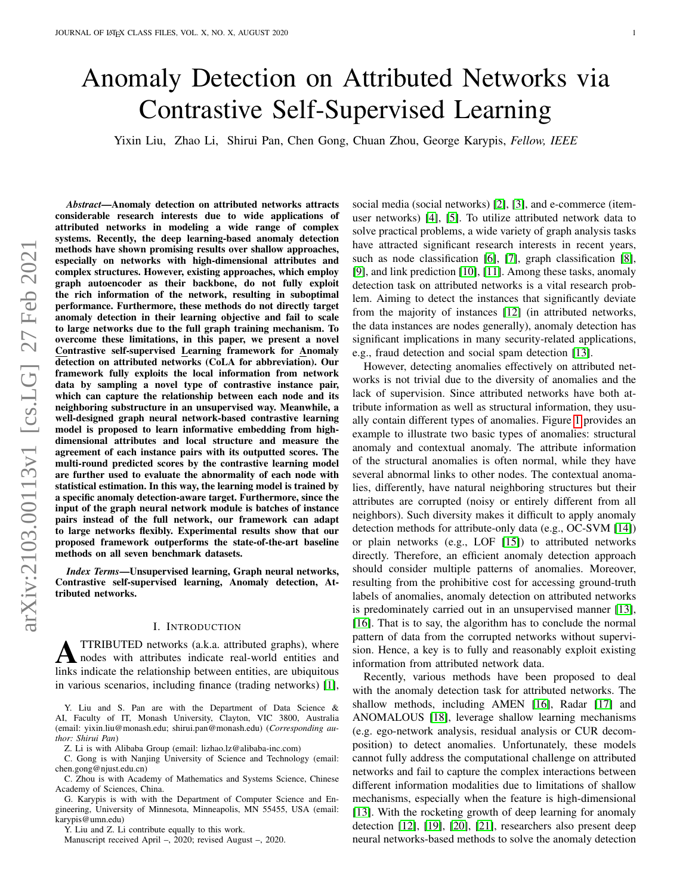# Anomaly Detection on Attributed Networks via Contrastive Self-Supervised Learning

Yixin Liu, Zhao Li, Shirui Pan, Chen Gong, Chuan Zhou, George Karypis, *Fellow, IEEE*

*Abstract*—Anomaly detection on attributed networks attracts considerable research interests due to wide applications of attributed networks in modeling a wide range of complex systems. Recently, the deep learning-based anomaly detection methods have shown promising results over shallow approaches, especially on networks with high-dimensional attributes and complex structures. However, existing approaches, which employ graph autoencoder as their backbone, do not fully exploit the rich information of the network, resulting in suboptimal performance. Furthermore, these methods do not directly target anomaly detection in their learning objective and fail to scale to large networks due to the full graph training mechanism. To overcome these limitations, in this paper, we present a novel Contrastive self-supervised Learning framework for Anomaly detection on attributed networks (CoLA for abbreviation). Our framework fully exploits the local information from network data by sampling a novel type of contrastive instance pair, which can capture the relationship between each node and its neighboring substructure in an unsupervised way. Meanwhile, a well-designed graph neural network-based contrastive learning model is proposed to learn informative embedding from highdimensional attributes and local structure and measure the agreement of each instance pairs with its outputted scores. The multi-round predicted scores by the contrastive learning model are further used to evaluate the abnormality of each node with statistical estimation. In this way, the learning model is trained by a specific anomaly detection-aware target. Furthermore, since the input of the graph neural network module is batches of instance pairs instead of the full network, our framework can adapt to large networks flexibly. Experimental results show that our proposed framework outperforms the state-of-the-art baseline methods on all seven benchmark datasets.

*Index Terms*—Unsupervised learning, Graph neural networks, Contrastive self-supervised learning, Anomaly detection, Attributed networks.

#### I. INTRODUCTION

**A** TTRIBUTED networks (a.k.a. attributed graphs), where<br>holds with attributes indicate real-world entities and<br>links indicate the polarizable hatter and this can estimated TTRIBUTED networks (a.k.a. attributed graphs), where links indicate the relationship between entities, are ubiquitous in various scenarios, including finance (trading networks) [\[1\]](#page-12-0),

Y. Liu and S. Pan are with the Department of Data Science & AI, Faculty of IT, Monash University, Clayton, VIC 3800, Australia (email: yixin.liu@monash.edu; shirui.pan@monash.edu) (*Corresponding author: Shirui Pan*)

Z. Li is with Alibaba Group (email: lizhao.lz@alibaba-inc.com)

C. Gong is with Nanjing University of Science and Technology (email:

chen.gong@njust.edu.cn) C. Zhou is with Academy of Mathematics and Systems Science, Chinese Academy of Sciences, China.

G. Karypis is with with the Department of Computer Science and Engineering, University of Minnesota, Minneapolis, MN 55455, USA (email: karypis@umn.edu)

Y. Liu and Z. Li contribute equally to this work.

Manuscript received April –, 2020; revised August –, 2020.

social media (social networks) [\[2\]](#page-12-1), [\[3\]](#page-12-2), and e-commerce (itemuser networks) [\[4\]](#page-12-3), [\[5\]](#page-12-4). To utilize attributed network data to solve practical problems, a wide variety of graph analysis tasks have attracted significant research interests in recent years, such as node classification [\[6\]](#page-13-0), [\[7\]](#page-13-1), graph classification [\[8\]](#page-13-2), [\[9\]](#page-13-3), and link prediction [\[10\]](#page-13-4), [\[11\]](#page-13-5). Among these tasks, anomaly detection task on attributed networks is a vital research problem. Aiming to detect the instances that significantly deviate from the majority of instances [\[12\]](#page-13-6) (in attributed networks, the data instances are nodes generally), anomaly detection has significant implications in many security-related applications, e.g., fraud detection and social spam detection [\[13\]](#page-13-7).

However, detecting anomalies effectively on attributed networks is not trivial due to the diversity of anomalies and the lack of supervision. Since attributed networks have both attribute information as well as structural information, they usually contain different types of anomalies. Figure [1](#page-1-0) provides an example to illustrate two basic types of anomalies: structural anomaly and contextual anomaly. The attribute information of the structural anomalies is often normal, while they have several abnormal links to other nodes. The contextual anomalies, differently, have natural neighboring structures but their attributes are corrupted (noisy or entirely different from all neighbors). Such diversity makes it difficult to apply anomaly detection methods for attribute-only data (e.g., OC-SVM [\[14\]](#page-13-8)) or plain networks (e.g., LOF [\[15\]](#page-13-9)) to attributed networks directly. Therefore, an efficient anomaly detection approach should consider multiple patterns of anomalies. Moreover, resulting from the prohibitive cost for accessing ground-truth labels of anomalies, anomaly detection on attributed networks is predominately carried out in an unsupervised manner [\[13\]](#page-13-7), [\[16\]](#page-13-10). That is to say, the algorithm has to conclude the normal pattern of data from the corrupted networks without supervision. Hence, a key is to fully and reasonably exploit existing information from attributed network data.

Recently, various methods have been proposed to deal with the anomaly detection task for attributed networks. The shallow methods, including AMEN [\[16\]](#page-13-10), Radar [\[17\]](#page-13-11) and ANOMALOUS [\[18\]](#page-13-12), leverage shallow learning mechanisms (e.g. ego-network analysis, residual analysis or CUR decomposition) to detect anomalies. Unfortunately, these models cannot fully address the computational challenge on attributed networks and fail to capture the complex interactions between different information modalities due to limitations of shallow mechanisms, especially when the feature is high-dimensional [\[13\]](#page-13-7). With the rocketing growth of deep learning for anomaly detection [\[12\]](#page-13-6), [\[19\]](#page-13-13), [\[20\]](#page-13-14), [\[21\]](#page-13-15), researchers also present deep neural networks-based methods to solve the anomaly detection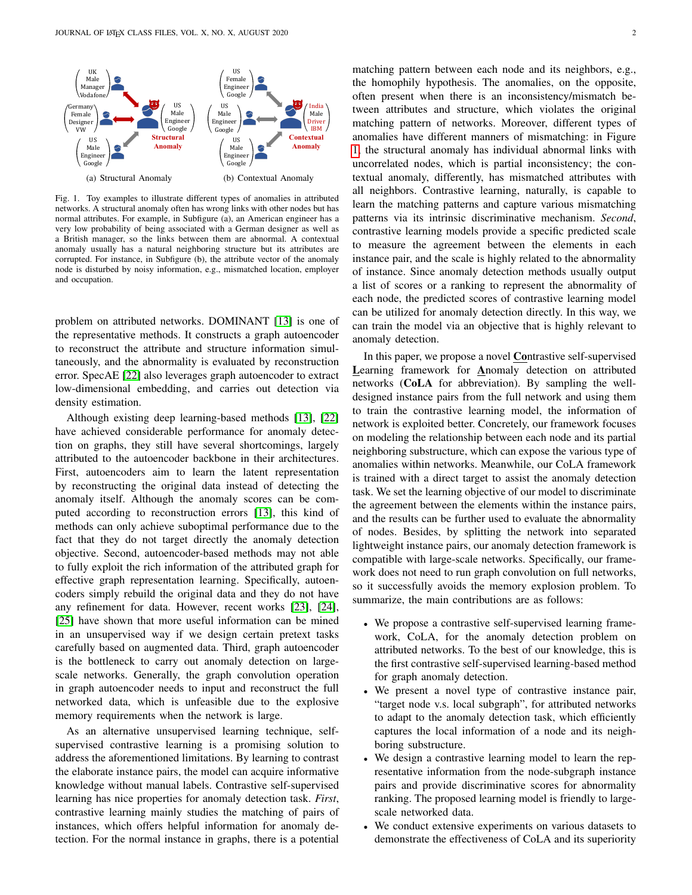

<span id="page-1-0"></span>Fig. 1. Toy examples to illustrate different types of anomalies in attributed networks. A structural anomaly often has wrong links with other nodes but has normal attributes. For example, in Subfigure (a), an American engineer has a very low probability of being associated with a German designer as well as a British manager, so the links between them are abnormal. A contextual anomaly usually has a natural neighboring structure but its attributes are corrupted. For instance, in Subfigure (b), the attribute vector of the anomaly node is disturbed by noisy information, e.g., mismatched location, employer and occupation.

problem on attributed networks. DOMINANT [\[13\]](#page-13-7) is one of the representative methods. It constructs a graph autoencoder to reconstruct the attribute and structure information simultaneously, and the abnormality is evaluated by reconstruction error. SpecAE [\[22\]](#page-13-16) also leverages graph autoencoder to extract low-dimensional embedding, and carries out detection via density estimation.

Although existing deep learning-based methods [\[13\]](#page-13-7), [\[22\]](#page-13-16) have achieved considerable performance for anomaly detection on graphs, they still have several shortcomings, largely attributed to the autoencoder backbone in their architectures. First, autoencoders aim to learn the latent representation by reconstructing the original data instead of detecting the anomaly itself. Although the anomaly scores can be computed according to reconstruction errors [\[13\]](#page-13-7), this kind of methods can only achieve suboptimal performance due to the fact that they do not target directly the anomaly detection objective. Second, autoencoder-based methods may not able to fully exploit the rich information of the attributed graph for effective graph representation learning. Specifically, autoencoders simply rebuild the original data and they do not have any refinement for data. However, recent works [\[23\]](#page-13-17), [\[24\]](#page-13-18), [\[25\]](#page-13-19) have shown that more useful information can be mined in an unsupervised way if we design certain pretext tasks carefully based on augmented data. Third, graph autoencoder is the bottleneck to carry out anomaly detection on largescale networks. Generally, the graph convolution operation in graph autoencoder needs to input and reconstruct the full networked data, which is unfeasible due to the explosive memory requirements when the network is large.

As an alternative unsupervised learning technique, selfsupervised contrastive learning is a promising solution to address the aforementioned limitations. By learning to contrast the elaborate instance pairs, the model can acquire informative knowledge without manual labels. Contrastive self-supervised learning has nice properties for anomaly detection task. *First*, contrastive learning mainly studies the matching of pairs of instances, which offers helpful information for anomaly detection. For the normal instance in graphs, there is a potential

matching pattern between each node and its neighbors, e.g., the homophily hypothesis. The anomalies, on the opposite, often present when there is an inconsistency/mismatch between attributes and structure, which violates the original matching pattern of networks. Moreover, different types of anomalies have different manners of mismatching: in Figure [1,](#page-1-0) the structural anomaly has individual abnormal links with uncorrelated nodes, which is partial inconsistency; the contextual anomaly, differently, has mismatched attributes with all neighbors. Contrastive learning, naturally, is capable to learn the matching patterns and capture various mismatching patterns via its intrinsic discriminative mechanism. *Second*, contrastive learning models provide a specific predicted scale to measure the agreement between the elements in each instance pair, and the scale is highly related to the abnormality of instance. Since anomaly detection methods usually output a list of scores or a ranking to represent the abnormality of each node, the predicted scores of contrastive learning model can be utilized for anomaly detection directly. In this way, we can train the model via an objective that is highly relevant to anomaly detection.

In this paper, we propose a novel Contrastive self-supervised Learning framework for Anomaly detection on attributed networks (CoLA for abbreviation). By sampling the welldesigned instance pairs from the full network and using them to train the contrastive learning model, the information of network is exploited better. Concretely, our framework focuses on modeling the relationship between each node and its partial neighboring substructure, which can expose the various type of anomalies within networks. Meanwhile, our CoLA framework is trained with a direct target to assist the anomaly detection task. We set the learning objective of our model to discriminate the agreement between the elements within the instance pairs, and the results can be further used to evaluate the abnormality of nodes. Besides, by splitting the network into separated lightweight instance pairs, our anomaly detection framework is compatible with large-scale networks. Specifically, our framework does not need to run graph convolution on full networks, so it successfully avoids the memory explosion problem. To summarize, the main contributions are as follows:

- We propose a contrastive self-supervised learning framework, CoLA, for the anomaly detection problem on attributed networks. To the best of our knowledge, this is the first contrastive self-supervised learning-based method for graph anomaly detection.
- We present a novel type of contrastive instance pair, "target node v.s. local subgraph", for attributed networks to adapt to the anomaly detection task, which efficiently captures the local information of a node and its neighboring substructure.
- We design a contrastive learning model to learn the representative information from the node-subgraph instance pairs and provide discriminative scores for abnormality ranking. The proposed learning model is friendly to largescale networked data.
- We conduct extensive experiments on various datasets to demonstrate the effectiveness of CoLA and its superiority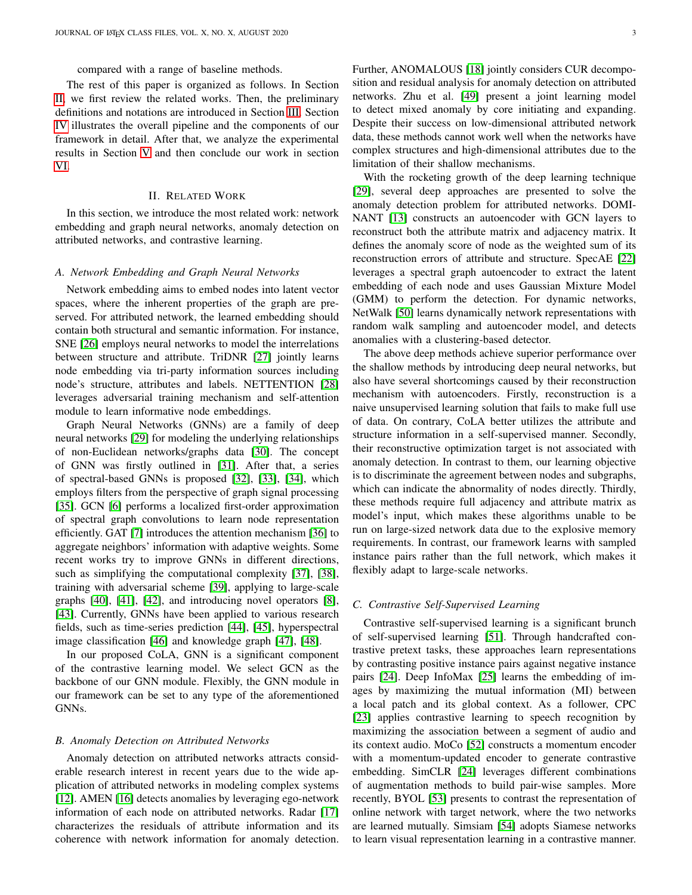#### compared with a range of baseline methods.

The rest of this paper is organized as follows. In Section [II,](#page-2-0) we first review the related works. Then, the preliminary definitions and notations are introduced in Section [III.](#page-3-0) Section [IV](#page-3-1) illustrates the overall pipeline and the components of our framework in detail. After that, we analyze the experimental results in Section [V](#page-7-0) and then conclude our work in section [VI.](#page-12-5)

#### II. RELATED WORK

<span id="page-2-0"></span>In this section, we introduce the most related work: network embedding and graph neural networks, anomaly detection on attributed networks, and contrastive learning.

# *A. Network Embedding and Graph Neural Networks*

Network embedding aims to embed nodes into latent vector spaces, where the inherent properties of the graph are preserved. For attributed network, the learned embedding should contain both structural and semantic information. For instance, SNE [\[26\]](#page-13-20) employs neural networks to model the interrelations between structure and attribute. TriDNR [\[27\]](#page-13-21) jointly learns node embedding via tri-party information sources including node's structure, attributes and labels. NETTENTION [\[28\]](#page-13-22) leverages adversarial training mechanism and self-attention module to learn informative node embeddings.

Graph Neural Networks (GNNs) are a family of deep neural networks [\[29\]](#page-13-23) for modeling the underlying relationships of non-Euclidean networks/graphs data [\[30\]](#page-13-24). The concept of GNN was firstly outlined in [\[31\]](#page-13-25). After that, a series of spectral-based GNNs is proposed [\[32\]](#page-13-26), [\[33\]](#page-13-27), [\[34\]](#page-13-28), which employs filters from the perspective of graph signal processing [\[35\]](#page-13-29). GCN [\[6\]](#page-13-0) performs a localized first-order approximation of spectral graph convolutions to learn node representation efficiently. GAT [\[7\]](#page-13-1) introduces the attention mechanism [\[36\]](#page-13-30) to aggregate neighbors' information with adaptive weights. Some recent works try to improve GNNs in different directions, such as simplifying the computational complexity [\[37\]](#page-13-31), [\[38\]](#page-13-32), training with adversarial scheme [\[39\]](#page-13-33), applying to large-scale graphs [\[40\]](#page-13-34), [\[41\]](#page-13-35), [\[42\]](#page-13-36), and introducing novel operators [\[8\]](#page-13-2), [\[43\]](#page-13-37). Currently, GNNs have been applied to various research fields, such as time-series prediction [\[44\]](#page-13-38), [\[45\]](#page-13-39), hyperspectral image classification [\[46\]](#page-13-40) and knowledge graph [\[47\]](#page-13-41), [\[48\]](#page-13-42).

In our proposed CoLA, GNN is a significant component of the contrastive learning model. We select GCN as the backbone of our GNN module. Flexibly, the GNN module in our framework can be set to any type of the aforementioned GNNs.

# *B. Anomaly Detection on Attributed Networks*

Anomaly detection on attributed networks attracts considerable research interest in recent years due to the wide application of attributed networks in modeling complex systems [\[12\]](#page-13-6). AMEN [\[16\]](#page-13-10) detects anomalies by leveraging ego-network information of each node on attributed networks. Radar [\[17\]](#page-13-11) characterizes the residuals of attribute information and its coherence with network information for anomaly detection. Further, ANOMALOUS [\[18\]](#page-13-12) jointly considers CUR decomposition and residual analysis for anomaly detection on attributed networks. Zhu et al. [\[49\]](#page-13-43) present a joint learning model to detect mixed anomaly by core initiating and expanding. Despite their success on low-dimensional attributed network data, these methods cannot work well when the networks have complex structures and high-dimensional attributes due to the limitation of their shallow mechanisms.

With the rocketing growth of the deep learning technique [\[29\]](#page-13-23), several deep approaches are presented to solve the anomaly detection problem for attributed networks. DOMI-NANT [\[13\]](#page-13-7) constructs an autoencoder with GCN layers to reconstruct both the attribute matrix and adjacency matrix. It defines the anomaly score of node as the weighted sum of its reconstruction errors of attribute and structure. SpecAE [\[22\]](#page-13-16) leverages a spectral graph autoencoder to extract the latent embedding of each node and uses Gaussian Mixture Model (GMM) to perform the detection. For dynamic networks, NetWalk [\[50\]](#page-13-44) learns dynamically network representations with random walk sampling and autoencoder model, and detects anomalies with a clustering-based detector.

The above deep methods achieve superior performance over the shallow methods by introducing deep neural networks, but also have several shortcomings caused by their reconstruction mechanism with autoencoders. Firstly, reconstruction is a naive unsupervised learning solution that fails to make full use of data. On contrary, CoLA better utilizes the attribute and structure information in a self-supervised manner. Secondly, their reconstructive optimization target is not associated with anomaly detection. In contrast to them, our learning objective is to discriminate the agreement between nodes and subgraphs, which can indicate the abnormality of nodes directly. Thirdly, these methods require full adjacency and attribute matrix as model's input, which makes these algorithms unable to be run on large-sized network data due to the explosive memory requirements. In contrast, our framework learns with sampled instance pairs rather than the full network, which makes it flexibly adapt to large-scale networks.

#### *C. Contrastive Self-Supervised Learning*

Contrastive self-supervised learning is a significant brunch of self-supervised learning [\[51\]](#page-13-45). Through handcrafted contrastive pretext tasks, these approaches learn representations by contrasting positive instance pairs against negative instance pairs [\[24\]](#page-13-18). Deep InfoMax [\[25\]](#page-13-19) learns the embedding of images by maximizing the mutual information (MI) between a local patch and its global context. As a follower, CPC [\[23\]](#page-13-17) applies contrastive learning to speech recognition by maximizing the association between a segment of audio and its context audio. MoCo [\[52\]](#page-13-46) constructs a momentum encoder with a momentum-updated encoder to generate contrastive embedding. SimCLR [\[24\]](#page-13-18) leverages different combinations of augmentation methods to build pair-wise samples. More recently, BYOL [\[53\]](#page-13-47) presents to contrast the representation of online network with target network, where the two networks are learned mutually. Simsiam [\[54\]](#page-14-0) adopts Siamese networks to learn visual representation learning in a contrastive manner.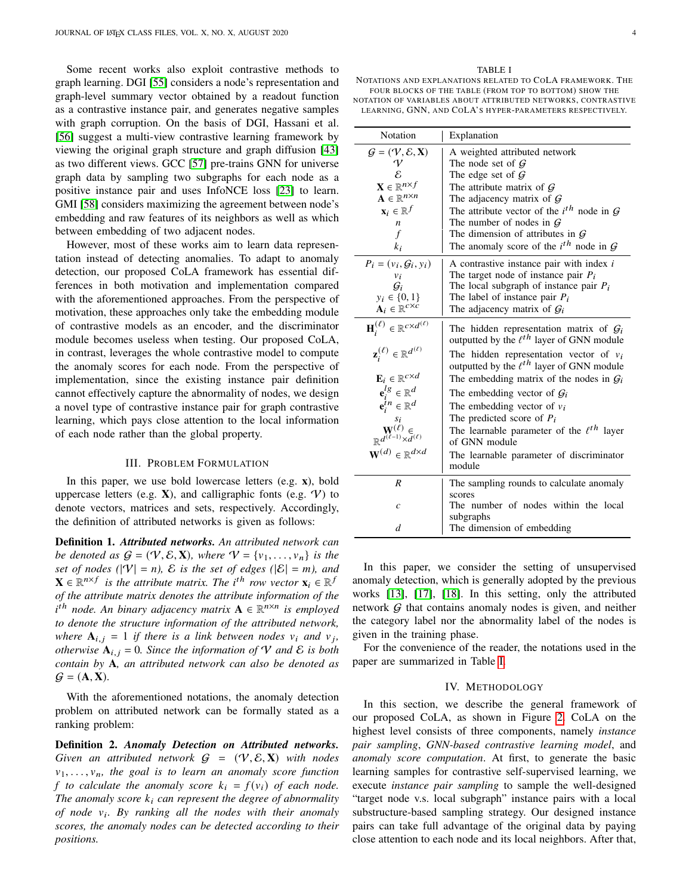Some recent works also exploit contrastive methods to graph learning. DGI [\[55\]](#page-14-1) considers a node's representation and graph-level summary vector obtained by a readout function as a contrastive instance pair, and generates negative samples with graph corruption. On the basis of DGI, Hassani et al. [\[56\]](#page-14-2) suggest a multi-view contrastive learning framework by viewing the original graph structure and graph diffusion [\[43\]](#page-13-37) as two different views. GCC [\[57\]](#page-14-3) pre-trains GNN for universe graph data by sampling two subgraphs for each node as a positive instance pair and uses InfoNCE loss [\[23\]](#page-13-17) to learn. GMI [\[58\]](#page-14-4) considers maximizing the agreement between node's embedding and raw features of its neighbors as well as which between embedding of two adjacent nodes.

However, most of these works aim to learn data representation instead of detecting anomalies. To adapt to anomaly detection, our proposed CoLA framework has essential differences in both motivation and implementation compared with the aforementioned approaches. From the perspective of motivation, these approaches only take the embedding module of contrastive models as an encoder, and the discriminator module becomes useless when testing. Our proposed CoLA, in contrast, leverages the whole contrastive model to compute the anomaly scores for each node. From the perspective of implementation, since the existing instance pair definition cannot effectively capture the abnormality of nodes, we design a novel type of contrastive instance pair for graph contrastive learning, which pays close attention to the local information of each node rather than the global property.

## III. PROBLEM FORMULATION

<span id="page-3-0"></span>In this paper, we use bold lowercase letters (e.g. **x**), bold uppercase letters (e.g.  $X$ ), and calligraphic fonts (e.g.  $V$ ) to denote vectors, matrices and sets, respectively. Accordingly, the definition of attributed networks is given as follows:

Definition 1. *Attributed networks. An attributed network can be denoted as*  $G = (\mathcal{V}, \mathcal{E}, \mathbf{X})$ *, where*  $\mathcal{V} = \{v_1, \ldots, v_n\}$  *is the set of nodes* ( $|V| = n$ ),  $\mathcal E$  *is the set of edges* ( $|\mathcal E| = m$ ), and  $\mathbf{X} \in \mathbb{R}^{n \times f}$  is the attribute matrix. The i<sup>th</sup> row vector  $\mathbf{x}_i \in \mathbb{R}^f$ *of the attribute matrix denotes the attribute information of the* i<sup>th</sup> node. An binary adjacency matrix **A** ∈  $\mathbb{R}^{n \times n}$  is employed *to denote the structure information of the attributed network, where*  $A_{i,j} = 1$  *if there is a link between nodes*  $v_i$  *and*  $v_j$ *, otherwise*  $A_{i,j} = 0$ *. Since the information of* V *and*  $\mathcal{E}$  *is both contain by* **A***, an attributed network can also be denoted as*  $\mathcal{G} = (\mathbf{A}, \mathbf{X})$ .

With the aforementioned notations, the anomaly detection problem on attributed network can be formally stated as a ranking problem:

Definition 2. *Anomaly Detection on Attributed networks. Given an attributed network*  $G = (\mathcal{V}, \mathcal{E}, \mathbf{X})$  *with nodes*  $v_1, \ldots, v_n$ , the goal is to learn an anomaly score function *f to calculate the anomaly score*  $k_i = f(v_i)$  *of each node. The anomaly score*  $k_i$  can represent the degree of abnormality *of node . By ranking all the nodes with their anomaly scores, the anomaly nodes can be detected according to their positions.*

<span id="page-3-2"></span>NOTATIONS AND EXPLANATIONS RELATED TO COLA FRAMEWORK. THE FOUR BLOCKS OF THE TABLE (FROM TOP TO BOTTOM) SHOW THE NOTATION OF VARIABLES ABOUT ATTRIBUTED NETWORKS, CONTRASTIVE

LEARNING, GNN, AND COLA'S HYPER-PARAMETERS RESPECTIVELY.

| Notation                                                                                                 | Explanation                                                                                             |
|----------------------------------------------------------------------------------------------------------|---------------------------------------------------------------------------------------------------------|
| $\mathcal{G} = (\mathcal{V}, \mathcal{E}, \mathbf{X})$                                                   | A weighted attributed network                                                                           |
| V<br>ε                                                                                                   | The node set of $G$<br>The edge set of $\mathcal G$                                                     |
| $\mathbf{X} \in \mathbb{R}^{n \times f}$                                                                 | The attribute matrix of $G$                                                                             |
| $\mathbf{A} \in \mathbb{R}^{n \times n}$                                                                 | The adjacency matrix of $G$                                                                             |
| $\mathbf{x}_i \in \mathbb{R}^f$                                                                          | The attribute vector of the $i^{th}$ node in $G$                                                        |
| $\boldsymbol{n}$                                                                                         | The number of nodes in $G$                                                                              |
| $\mathcal{f}$                                                                                            | The dimension of attributes in $G$                                                                      |
| $k_i$                                                                                                    | The anomaly score of the $i^{th}$ node in G                                                             |
| $P_i = (v_i, \mathcal{G}_i, y_i)$                                                                        | A contrastive instance pair with index i                                                                |
| $v_i$                                                                                                    | The target node of instance pair $P_i$                                                                  |
| $\mathcal{G}_i$                                                                                          | The local subgraph of instance pair $P_i$                                                               |
| $y_i \in \{0, 1\}$<br>$A_i \in \mathbb{R}^{c \times c}$                                                  | The label of instance pair $P_i$<br>The adjacency matrix of $\mathcal{G}_i$                             |
|                                                                                                          |                                                                                                         |
| $\mathbf{H}_i^{(\ell)} \in \mathbb{R}^{c \times d^{(\ell)}}$                                             | The hidden representation matrix of $\mathcal{G}_i$<br>outputted by the $\ell^{th}$ layer of GNN module |
| $\mathbf{z}_i^{(\ell)} \in \mathbb{R}^{d^{(\ell)}}$                                                      | The hidden representation vector of $v_i$<br>outputted by the $\ell^{th}$ layer of GNN module           |
| $\mathbf{E}_i \in \mathbb{R}^{c \times d}$                                                               | The embedding matrix of the nodes in $G_i$                                                              |
| ${\bf e}_i^{lg} \in \mathbb{R}^d$                                                                        | The embedding vector of $G_i$                                                                           |
| $e_i^{in} \in \mathbb{R}^d$                                                                              | The embedding vector of $v_i$                                                                           |
|                                                                                                          | The predicted score of $P_i$                                                                            |
| $\begin{array}{c} s_i\\ \mathbf{W}^{(\ell)}\in\\ \mathbb{R}^{d^{(\ell-1)}\times d^{(\ell)}} \end{array}$ | The learnable parameter of the $\ell^{th}$ layer<br>of GNN module                                       |
| $\mathbf{W}^{(d)} \in \mathbb{R}^{d \times d}$                                                           | The learnable parameter of discriminator                                                                |
|                                                                                                          | module                                                                                                  |
| R                                                                                                        | The sampling rounds to calculate anomaly<br>scores                                                      |
| $\mathcal{C}_{0}$                                                                                        | The number of nodes within the local                                                                    |
|                                                                                                          | subgraphs                                                                                               |
| $\overline{d}$                                                                                           | The dimension of embedding                                                                              |

In this paper, we consider the setting of unsupervised anomaly detection, which is generally adopted by the previous works [\[13\]](#page-13-7), [\[17\]](#page-13-11), [\[18\]](#page-13-12). In this setting, only the attributed network  $G$  that contains anomaly nodes is given, and neither the category label nor the abnormality label of the nodes is given in the training phase.

For the convenience of the reader, the notations used in the paper are summarized in Table [I.](#page-3-2)

#### IV. METHODOLOGY

<span id="page-3-1"></span>In this section, we describe the general framework of our proposed CoLA, as shown in Figure [2.](#page-4-0) CoLA on the highest level consists of three components, namely *instance pair sampling*, *GNN-based contrastive learning model*, and *anomaly score computation*. At first, to generate the basic learning samples for contrastive self-supervised learning, we execute *instance pair sampling* to sample the well-designed "target node v.s. local subgraph" instance pairs with a local substructure-based sampling strategy. Our designed instance pairs can take full advantage of the original data by paying close attention to each node and its local neighbors. After that,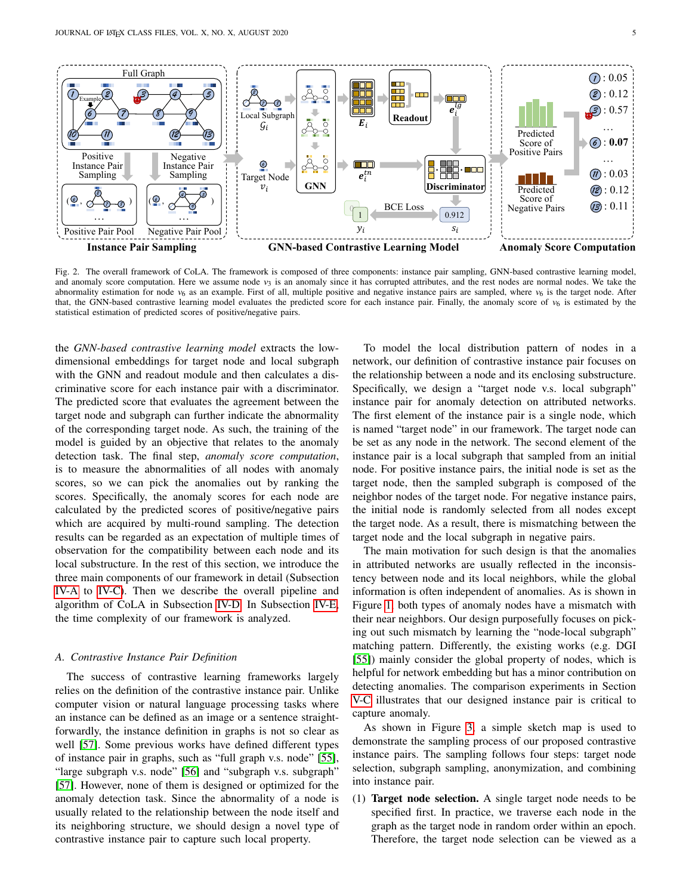

<span id="page-4-0"></span>Fig. 2. The overall framework of CoLA. The framework is composed of three components: instance pair sampling, GNN-based contrastive learning model, and anomaly score computation. Here we assume node  $v_3$  is an anomaly since it has corrupted attributes, and the rest nodes are normal nodes. We take the abnormality estimation for node  $v_6$  as an example. First of all, multiple positive and negative instance pairs are sampled, where  $v_6$  is the target node. After that, the GNN-based contrastive learning model evaluates the predicted score for each instance pair. Finally, the anomaly score of  $v_6$  is estimated by the statistical estimation of predicted scores of positive/negative pairs.

the *GNN-based contrastive learning model* extracts the lowdimensional embeddings for target node and local subgraph with the GNN and readout module and then calculates a discriminative score for each instance pair with a discriminator. The predicted score that evaluates the agreement between the target node and subgraph can further indicate the abnormality of the corresponding target node. As such, the training of the model is guided by an objective that relates to the anomaly detection task. The final step, *anomaly score computation*, is to measure the abnormalities of all nodes with anomaly scores, so we can pick the anomalies out by ranking the scores. Specifically, the anomaly scores for each node are calculated by the predicted scores of positive/negative pairs which are acquired by multi-round sampling. The detection results can be regarded as an expectation of multiple times of observation for the compatibility between each node and its local substructure. In the rest of this section, we introduce the three main components of our framework in detail (Subsection [IV-A](#page-4-1) to [IV-C\)](#page-6-0). Then we describe the overall pipeline and algorithm of CoLA in Subsection [IV-D.](#page-7-1) In Subsection [IV-E,](#page-7-2) the time complexity of our framework is analyzed.

## <span id="page-4-1"></span>*A. Contrastive Instance Pair Definition*

The success of contrastive learning frameworks largely relies on the definition of the contrastive instance pair. Unlike computer vision or natural language processing tasks where an instance can be defined as an image or a sentence straightforwardly, the instance definition in graphs is not so clear as well [\[57\]](#page-14-3). Some previous works have defined different types of instance pair in graphs, such as "full graph v.s. node" [\[55\]](#page-14-1), "large subgraph v.s. node" [\[56\]](#page-14-2) and "subgraph v.s. subgraph" [\[57\]](#page-14-3). However, none of them is designed or optimized for the anomaly detection task. Since the abnormality of a node is usually related to the relationship between the node itself and its neighboring structure, we should design a novel type of contrastive instance pair to capture such local property.

To model the local distribution pattern of nodes in a network, our definition of contrastive instance pair focuses on the relationship between a node and its enclosing substructure. Specifically, we design a "target node v.s. local subgraph" instance pair for anomaly detection on attributed networks. The first element of the instance pair is a single node, which is named "target node" in our framework. The target node can be set as any node in the network. The second element of the instance pair is a local subgraph that sampled from an initial node. For positive instance pairs, the initial node is set as the target node, then the sampled subgraph is composed of the neighbor nodes of the target node. For negative instance pairs, the initial node is randomly selected from all nodes except the target node. As a result, there is mismatching between the target node and the local subgraph in negative pairs.

The main motivation for such design is that the anomalies in attributed networks are usually reflected in the inconsistency between node and its local neighbors, while the global information is often independent of anomalies. As is shown in Figure [1,](#page-1-0) both types of anomaly nodes have a mismatch with their near neighbors. Our design purposefully focuses on picking out such mismatch by learning the "node-local subgraph" matching pattern. Differently, the existing works (e.g. DGI [\[55\]](#page-14-1)) mainly consider the global property of nodes, which is helpful for network embedding but has a minor contribution on detecting anomalies. The comparison experiments in Section [V-C](#page-9-0) illustrates that our designed instance pair is critical to capture anomaly.

As shown in Figure [3,](#page-5-0) a simple sketch map is used to demonstrate the sampling process of our proposed contrastive instance pairs. The sampling follows four steps: target node selection, subgraph sampling, anonymization, and combining into instance pair.

(1) Target node selection. A single target node needs to be specified first. In practice, we traverse each node in the graph as the target node in random order within an epoch. Therefore, the target node selection can be viewed as a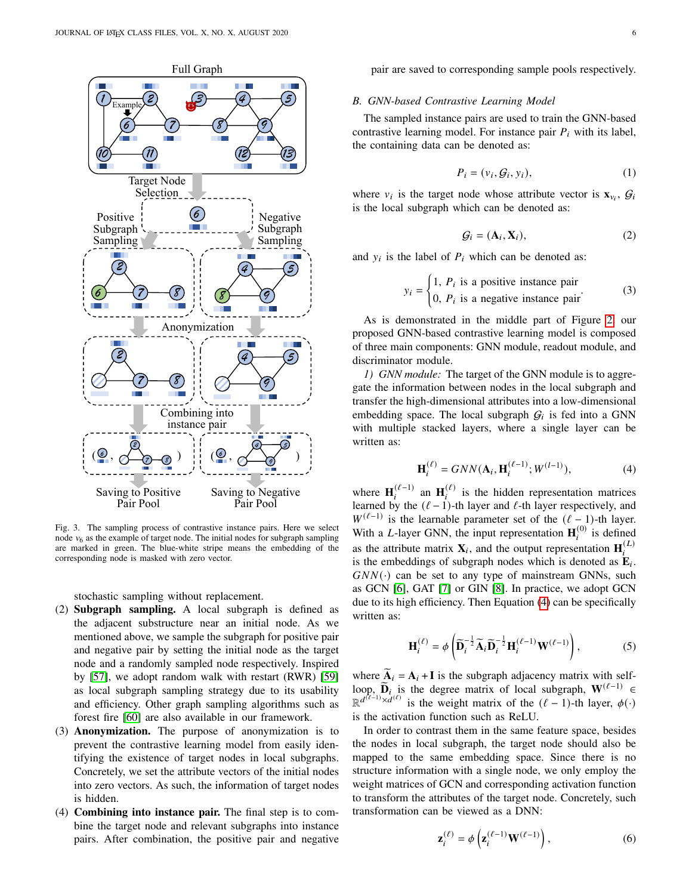

<span id="page-5-0"></span>Fig. 3. The sampling process of contrastive instance pairs. Here we select node  $v_6$  as the example of target node. The initial nodes for subgraph sampling are marked in green. The blue-white stripe means the embedding of the corresponding node is masked with zero vector.

stochastic sampling without replacement.

- (2) Subgraph sampling. A local subgraph is defined as the adjacent substructure near an initial node. As we mentioned above, we sample the subgraph for positive pair and negative pair by setting the initial node as the target node and a randomly sampled node respectively. Inspired by [\[57\]](#page-14-3), we adopt random walk with restart (RWR) [\[59\]](#page-14-5) as local subgraph sampling strategy due to its usability and efficiency. Other graph sampling algorithms such as forest fire [\[60\]](#page-14-6) are also available in our framework.
- (3) Anonymization. The purpose of anonymization is to prevent the contrastive learning model from easily identifying the existence of target nodes in local subgraphs. Concretely, we set the attribute vectors of the initial nodes into zero vectors. As such, the information of target nodes is hidden.
- (4) Combining into instance pair. The final step is to combine the target node and relevant subgraphs into instance pairs. After combination, the positive pair and negative

pair are saved to corresponding sample pools respectively.

#### *B. GNN-based Contrastive Learning Model*

The sampled instance pairs are used to train the GNN-based contrastive learning model. For instance pair  $P_i$  with its label, the containing data can be denoted as:

$$
P_i = (v_i, \mathcal{G}_i, y_i),\tag{1}
$$

where  $v_i$  is the target node whose attribute vector is  $\mathbf{x}_{v_i}$ ,  $\mathcal{G}_i$ is the local subgraph which can be denoted as:

$$
\mathcal{G}_i = (\mathbf{A}_i, \mathbf{X}_i),\tag{2}
$$

and  $y_i$  is the label of  $P_i$  which can be denoted as:

$$
y_i = \begin{cases} 1, P_i \text{ is a positive instance pair} \\ 0, P_i \text{ is a negative instance pair} \end{cases}
$$
 (3)

As is demonstrated in the middle part of Figure [2,](#page-4-0) our proposed GNN-based contrastive learning model is composed of three main components: GNN module, readout module, and discriminator module.

*1) GNN module:* The target of the GNN module is to aggregate the information between nodes in the local subgraph and transfer the high-dimensional attributes into a low-dimensional embedding space. The local subgraph  $G_i$  is fed into a GNN with multiple stacked layers, where a single layer can be written as:

<span id="page-5-1"></span>
$$
\mathbf{H}_{i}^{(\ell)} = GNN(\mathbf{A}_{i}, \mathbf{H}_{i}^{(\ell-1)}; W^{(l-1)}),
$$
 (4)

where  $\mathbf{H}_{i}^{(\ell-1)}$  an  $\mathbf{H}_{i}^{(\ell)}$  is the hidden representation matrices learned by the  $(\ell - 1)$ -th layer and  $\ell$ -th layer respectively, and  $W^{(\ell-1)}$  is the learnable parameter set of the  $(\ell-1)$ -th layer. With a L-layer GNN, the input representation  $\mathbf{H}_{i}^{(0)}$  is defined as the attribute matrix  $\mathbf{X}_i$ , and the output representation  $\mathbf{H}_i^{(L)}$ is the embeddings of subgraph nodes which is denoted as  $\mathbf{E}_i$ .  $GNN(\cdot)$  can be set to any type of mainstream GNNs, such as GCN [\[6\]](#page-13-0), GAT [\[7\]](#page-13-1) or GIN [\[8\]](#page-13-2). In practice, we adopt GCN due to its high efficiency. Then Equation [\(4\)](#page-5-1) can be specifically written as:

$$
\mathbf{H}_{i}^{(\ell)} = \phi \left( \widetilde{\mathbf{D}}_{i}^{-\frac{1}{2}} \widetilde{\mathbf{A}}_{i} \widetilde{\mathbf{D}}_{i}^{-\frac{1}{2}} \mathbf{H}_{i}^{(\ell-1)} \mathbf{W}^{(\ell-1)} \right), \tag{5}
$$

where  $A_i = A_i + I$  is the subgraph adjacency matrix with selfloop,  $\widetilde{\mathbf{D}}_i$  is the degree matrix of local subgraph,  $\mathbf{W}^{(\ell-1)} \in \mathbb{R}^{d(\ell-1)\times d(\ell)}$  $\mathbb{R}^{d^{(k-1)} \times d^{(\ell)}}$  is the weight matrix of the  $(\ell-1)$ -th layer,  $\phi(\cdot)$ is the activation function such as ReLU.

In order to contrast them in the same feature space, besides the nodes in local subgraph, the target node should also be mapped to the same embedding space. Since there is no structure information with a single node, we only employ the weight matrices of GCN and corresponding activation function to transform the attributes of the target node. Concretely, such transformation can be viewed as a DNN:

$$
\mathbf{z}_{i}^{(\ell)} = \phi\left(\mathbf{z}_{i}^{(\ell-1)}\mathbf{W}^{(\ell-1)}\right),\tag{6}
$$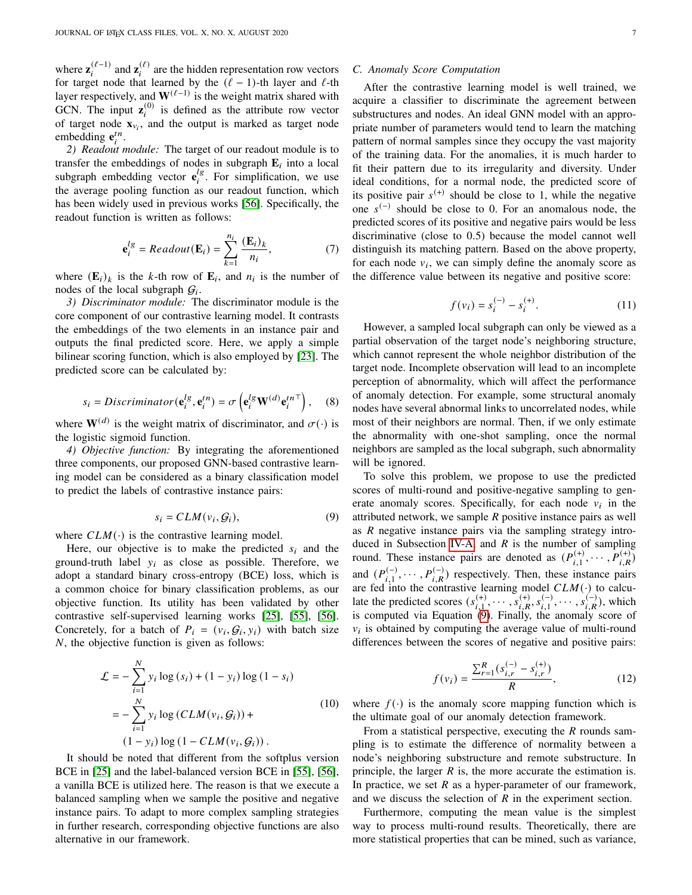where  $\mathbf{z}_i^{(\ell-1)}$  and  $\mathbf{z}_i^{(\ell)}$  are the hidden representation row vectors for target node that learned by the  $(\ell - 1)$ -th layer and  $\ell$ -th layer respectively, and  $\mathbf{W}^{(\ell-1)}$  is the weight matrix shared with GCN. The input  $\mathbf{z}_i^{(0)}$  is defined as the attribute row vector of target node  $\mathbf{x}_{v_i}$ , and the output is marked as target node embedding  $e_i^{tn}$ .

*2) Readout module:* The target of our readout module is to transfer the embeddings of nodes in subgraph  $E_i$  into a local subgraph embedding vector  $\mathbf{e}_i^{lg}$  $i<sub>i</sub><sup>ug</sup>$ . For simplification, we use the average pooling function as our readout function, which has been widely used in previous works [\[56\]](#page-14-2). Specifically, the readout function is written as follows:

$$
\mathbf{e}_i^{lg} = Readout(\mathbf{E}_i) = \sum_{k=1}^{n_i} \frac{(\mathbf{E}_i)_k}{n_i},
$$
 (7)

where  $(E_i)_k$  is the k-th row of  $E_i$ , and  $n_i$  is the number of nodes of the local subgraph  $G_i$ .

*3) Discriminator module:* The discriminator module is the core component of our contrastive learning model. It contrasts the embeddings of the two elements in an instance pair and outputs the final predicted score. Here, we apply a simple bilinear scoring function, which is also employed by [\[23\]](#page-13-17). The predicted score can be calculated by:

$$
s_i = Discriminator(\mathbf{e}_i^{lg}, \mathbf{e}_i^{tn}) = \sigma\left(\mathbf{e}_i^{lg}\mathbf{W}^{(d)}\mathbf{e}_i^{tn\top}\right), \quad (8)
$$

where  $W^{(d)}$  is the weight matrix of discriminator, and  $\sigma(\cdot)$  is the logistic sigmoid function.

*4) Objective function:* By integrating the aforementioned three components, our proposed GNN-based contrastive learning model can be considered as a binary classification model to predict the labels of contrastive instance pairs:

<span id="page-6-1"></span>
$$
s_i = CLM(v_i, \mathcal{G}_i),\tag{9}
$$

where  $CLM(\cdot)$  is the contrastive learning model.

Here, our objective is to make the predicted  $s_i$  and the ground-truth label  $y_i$  as close as possible. Therefore, we adopt a standard binary cross-entropy (BCE) loss, which is a common choice for binary classification problems, as our objective function. Its utility has been validated by other contrastive self-supervised learning works [\[25\]](#page-13-19), [\[55\]](#page-14-1), [\[56\]](#page-14-2). Concretely, for a batch of  $P_i = (v_i, \mathcal{G}_i, y_i)$  with batch size  $N$ , the objective function is given as follows:

<span id="page-6-2"></span>
$$
\mathcal{L} = -\sum_{i=1}^{N} y_i \log(s_i) + (1 - y_i) \log(1 - s_i)
$$
  
= 
$$
-\sum_{i=1}^{N} y_i \log(CLM(v_i, G_i)) +
$$
  

$$
(1 - y_i) \log(1 - CLM(v_i, G_i)).
$$
 (10)

It should be noted that different from the softplus version BCE in [\[25\]](#page-13-19) and the label-balanced version BCE in [\[55\]](#page-14-1), [\[56\]](#page-14-2), a vanilla BCE is utilized here. The reason is that we execute a balanced sampling when we sample the positive and negative instance pairs. To adapt to more complex sampling strategies in further research, corresponding objective functions are also alternative in our framework.

# <span id="page-6-0"></span>*C. Anomaly Score Computation*

After the contrastive learning model is well trained, we acquire a classifier to discriminate the agreement between substructures and nodes. An ideal GNN model with an appropriate number of parameters would tend to learn the matching pattern of normal samples since they occupy the vast majority of the training data. For the anomalies, it is much harder to fit their pattern due to its irregularity and diversity. Under ideal conditions, for a normal node, the predicted score of its positive pair  $s^{(+)}$  should be close to 1, while the negative one  $s^{(-)}$  should be close to 0. For an anomalous node, the predicted scores of its positive and negative pairs would be less discriminative (close to 0.5) because the model cannot well distinguish its matching pattern. Based on the above property, for each node  $v_i$ , we can simply define the anomaly score as the difference value between its negative and positive score:

$$
f(v_i) = s_i^{(-)} - s_i^{(+)}.
$$
 (11)

However, a sampled local subgraph can only be viewed as a partial observation of the target node's neighboring structure, which cannot represent the whole neighbor distribution of the target node. Incomplete observation will lead to an incomplete perception of abnormality, which will affect the performance of anomaly detection. For example, some structural anomaly nodes have several abnormal links to uncorrelated nodes, while most of their neighbors are normal. Then, if we only estimate the abnormality with one-shot sampling, once the normal neighbors are sampled as the local subgraph, such abnormality will be ignored.

To solve this problem, we propose to use the predicted scores of multi-round and positive-negative sampling to generate anomaly scores. Specifically, for each node  $v_i$  in the attributed network, we sample  $R$  positive instance pairs as well as  *negative instance pairs via the sampling strategy intro-*duced in Subsection [IV-A,](#page-4-1) and  $R$  is the number of sampling round. These instance pairs are denoted as  $(P_{i,1}^{(+)}, \cdots, P_{i,R}^{(+)})$ and  $(P_{i,1}^{(-)}, \cdots, P_{i,R}^{(-)})$  respectively. Then, these instance pairs are fed into the contrastive learning model  $CLM(\cdot)$  to calculate the predicted scores  $(s_{i,1}^{(+)}, \cdots, s_{i,R}^{(+)}, s_{i,1}^{(-)}, \cdots, s_{i,R}^{(-)}),$  which is computed via Equation [\(9\)](#page-6-1). Finally, the anomaly score of  $v_i$  is obtained by computing the average value of multi-round differences between the scores of negative and positive pairs:

<span id="page-6-3"></span>
$$
f(v_i) = \frac{\sum_{r=1}^{R} (s_{i,r}^{(-)} - s_{i,r}^{(+)})}{R},
$$
\n(12)

where  $f(\cdot)$  is the anomaly score mapping function which is the ultimate goal of our anomaly detection framework.

From a statistical perspective, executing the  *rounds sam*pling is to estimate the difference of normality between a node's neighboring substructure and remote substructure. In principle, the larger  $R$  is, the more accurate the estimation is. In practice, we set  $R$  as a hyper-parameter of our framework, and we discuss the selection of  $R$  in the experiment section.

Furthermore, computing the mean value is the simplest way to process multi-round results. Theoretically, there are more statistical properties that can be mined, such as variance,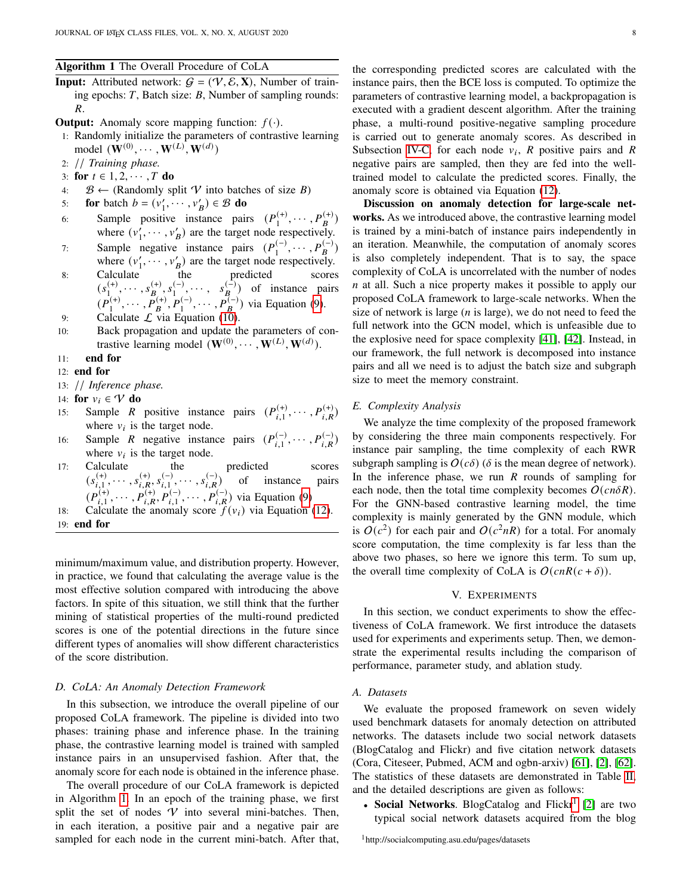## <span id="page-7-3"></span>Algorithm 1 The Overall Procedure of CoLA

- **Input:** Attributed network:  $G = (\mathcal{V}, \mathcal{E}, \mathbf{X})$ , Number of training epochs:  $T$ , Batch size:  $B$ , Number of sampling rounds:  $R_{\cdot}$
- **Output:** Anomaly score mapping function:  $f(\cdot)$ .
- 1: Randomly initialize the parameters of contrastive learning model  $(\mathbf{W}^{(0)}, \cdots, \mathbf{W}^{(L)}, \mathbf{W}^{(d)})$
- 2: // *Training phase.*
- 3: for  $t \in {1, 2, \cdots, T}$  do
- 4:  $B \leftarrow$  (Randomly split V into batches of size B)
- 5: **for** batch  $b = (v'_1, \dots, v'_B) \in \mathcal{B}$  **do**
- 6: Sample positive instance pairs  $(P_1^{(+)})$  $\binom{(+)}{1}, \cdots, P_B^{(+)}$ where  $(v'_1, \dots, v'_B)$  are the target node respectively.
- 7: Sample negative instance pairs  $(P_1^{(-)})$  $\binom{(-)}{1}, \cdots, P_B^{(-)}$ where  $(v'_1, \dots, v'_B)$  are the target node respectively.
- 8: Calculate the predicted scores  $(s_1^{(+)}$  $\binom{(+)}{1}$ ,  $\cdots$  ,  $s_{B}^{(+)}$ ,  $s_{1}^{(-)}$  $s_1^{(-)}, \cdots, s_B^{(-)}$  of instance pairs  $(P_1^{(+)}$  $I_1^{(+)}, \cdots, P_B^{(+)}, P_1^{(-)}, \cdots, P_B^{(-)}$  via Equation [\(9\)](#page-6-1). 9: Calculate  $\mathcal L$  via Equation [\(10\)](#page-6-2).
- 10: Back propagation and update the parameters of contrastive learning model  $(\mathbf{W}^{(0)}, \cdots, \mathbf{W}^{(L)}, \mathbf{W}^{(d)}).$
- 11: end for

#### 12: end for

- 13: // *Inference phase.*
- 14: for  $v_i \in V$  do
- 15: Sample R positive instance pairs  $(P_{i,1}^{(+)}, \cdots, P_{i,R}^{(+)})$ where  $v_i$  is the target node.
- 16: Sample *R* negative instance pairs  $(P_{i,1}^{(-)}, \dots, P_{i,R}^{(-)})$ where  $v_i$  is the target node.
- 17: Calculate the predicted scores  $(s_{i,1}^{(+)}, \cdots, s_{i,R}^{(+)}, s_{i,1}^{(-)}, \cdots, s_{i,R}^{(-)})$  of instance pairs  $(P_{i,1}^{(+)}, \cdots, P_{i,R}^{(+)}, P_{i,1}^{(-)}, \cdots, P_{i,R}^{(-)})$  via Equation [\(9\)](#page-6-1)
- 18: Calculate the anomaly score  $f(v_i)$  via Equation [\(12\)](#page-6-3).
- 19: end for

minimum/maximum value, and distribution property. However, in practice, we found that calculating the average value is the most effective solution compared with introducing the above factors. In spite of this situation, we still think that the further mining of statistical properties of the multi-round predicted scores is one of the potential directions in the future since different types of anomalies will show different characteristics of the score distribution.

# <span id="page-7-1"></span>*D. CoLA: An Anomaly Detection Framework*

In this subsection, we introduce the overall pipeline of our proposed CoLA framework. The pipeline is divided into two phases: training phase and inference phase. In the training phase, the contrastive learning model is trained with sampled instance pairs in an unsupervised fashion. After that, the anomaly score for each node is obtained in the inference phase.

The overall procedure of our CoLA framework is depicted in Algorithm [1.](#page-7-3) In an epoch of the training phase, we first split the set of nodes  $V$  into several mini-batches. Then, in each iteration, a positive pair and a negative pair are sampled for each node in the current mini-batch. After that, the corresponding predicted scores are calculated with the instance pairs, then the BCE loss is computed. To optimize the parameters of contrastive learning model, a backpropagation is executed with a gradient descent algorithm. After the training phase, a multi-round positive-negative sampling procedure is carried out to generate anomaly scores. As described in Subsection [IV-C,](#page-6-0) for each node  $v_i$ , R positive pairs and R negative pairs are sampled, then they are fed into the welltrained model to calculate the predicted scores. Finally, the anomaly score is obtained via Equation [\(12\)](#page-6-3).

Discussion on anomaly detection for large-scale networks. As we introduced above, the contrastive learning model is trained by a mini-batch of instance pairs independently in an iteration. Meanwhile, the computation of anomaly scores is also completely independent. That is to say, the space complexity of CoLA is uncorrelated with the number of nodes  $n$  at all. Such a nice property makes it possible to apply our proposed CoLA framework to large-scale networks. When the size of network is large  $(n$  is large), we do not need to feed the full network into the GCN model, which is unfeasible due to the explosive need for space complexity [\[41\]](#page-13-35), [\[42\]](#page-13-36). Instead, in our framework, the full network is decomposed into instance pairs and all we need is to adjust the batch size and subgraph size to meet the memory constraint.

# <span id="page-7-2"></span>*E. Complexity Analysis*

We analyze the time complexity of the proposed framework by considering the three main components respectively. For instance pair sampling, the time complexity of each RWR subgraph sampling is  $O(c\delta)$  ( $\delta$  is the mean degree of network). In the inference phase, we run  *rounds of sampling for* each node, then the total time complexity becomes  $O(\text{cn} \delta R)$ . For the GNN-based contrastive learning model, the time complexity is mainly generated by the GNN module, which is  $O(c^2)$  for each pair and  $O(c^2nR)$  for a total. For anomaly score computation, the time complexity is far less than the above two phases, so here we ignore this term. To sum up, the overall time complexity of CoLA is  $O(\text{cn}R(c+\delta)).$ 

# V. EXPERIMENTS

<span id="page-7-0"></span>In this section, we conduct experiments to show the effectiveness of CoLA framework. We first introduce the datasets used for experiments and experiments setup. Then, we demonstrate the experimental results including the comparison of performance, parameter study, and ablation study.

#### *A. Datasets*

We evaluate the proposed framework on seven widely used benchmark datasets for anomaly detection on attributed networks. The datasets include two social network datasets (BlogCatalog and Flickr) and five citation network datasets (Cora, Citeseer, Pubmed, ACM and ogbn-arxiv) [\[61\]](#page-14-7), [\[2\]](#page-12-1), [\[62\]](#page-14-8). The statistics of these datasets are demonstrated in Table [II,](#page-8-0) and the detailed descriptions are given as follows:

• Social Networks. BlogCatalog and Flickr<sup>[1](#page-7-4)</sup> [\[2\]](#page-12-1) are two typical social network datasets acquired from the blog

<span id="page-7-4"></span><sup>1</sup>http://socialcomputing.asu.edu/pages/datasets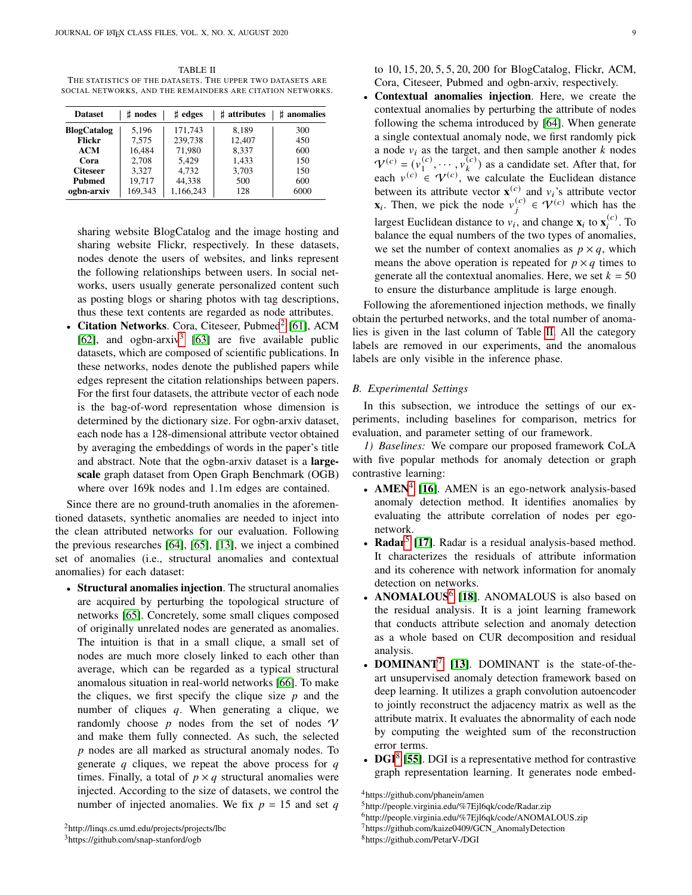<span id="page-8-0"></span>TABLE II THE STATISTICS OF THE DATASETS. THE UPPER TWO DATASETS ARE SOCIAL NETWORKS, AND THE REMAINDERS ARE CITATION NETWORKS.

| <b>Dataset</b>     | $\sharp$ nodes | $\sharp$ edges | # attributes | # anomalies |
|--------------------|----------------|----------------|--------------|-------------|
| <b>BlogCatalog</b> | 5.196          | 171,743        | 8.189        | 300         |
| <b>Flickr</b>      | 7,575          | 239,738        | 12,407       | 450         |
| <b>ACM</b>         | 16,484         | 71,980         | 8,337        | 600         |
| Cora               | 2,708          | 5,429          | 1,433        | 150         |
| <b>Citeseer</b>    | 3.327          | 4,732          | 3,703        | 150         |
| <b>Pubmed</b>      | 19,717         | 44,338         | 500          | 600         |
| ogbn-arxiv         | 169,343        | 1,166,243      | 128          | 6000        |

sharing website BlogCatalog and the image hosting and sharing website Flickr, respectively. In these datasets, nodes denote the users of websites, and links represent the following relationships between users. In social networks, users usually generate personalized content such as posting blogs or sharing photos with tag descriptions, thus these text contents are regarded as node attributes.

• Citation Networks. Cora, Citeseer, Pubmed<sup>[2](#page-8-1)</sup> [\[61\]](#page-14-7), ACM [\[62\]](#page-14-8), and ogbn-arxiv<sup>[3](#page-8-2)</sup> [\[63\]](#page-14-9) are five available public datasets, which are composed of scientific publications. In these networks, nodes denote the published papers while edges represent the citation relationships between papers. For the first four datasets, the attribute vector of each node is the bag-of-word representation whose dimension is determined by the dictionary size. For ogbn-arxiv dataset, each node has a 128-dimensional attribute vector obtained by averaging the embeddings of words in the paper's title and abstract. Note that the ogbn-arxiv dataset is a largescale graph dataset from Open Graph Benchmark (OGB) where over 169k nodes and 1.1m edges are contained.

Since there are no ground-truth anomalies in the aforementioned datasets, synthetic anomalies are needed to inject into the clean attributed networks for our evaluation. Following the previous researches [\[64\]](#page-14-10), [\[65\]](#page-14-11), [\[13\]](#page-13-7), we inject a combined set of anomalies (i.e., structural anomalies and contextual anomalies) for each dataset:

• Structural anomalies injection. The structural anomalies are acquired by perturbing the topological structure of networks [\[65\]](#page-14-11). Concretely, some small cliques composed of originally unrelated nodes are generated as anomalies. The intuition is that in a small clique, a small set of nodes are much more closely linked to each other than average, which can be regarded as a typical structural anomalous situation in real-world networks [\[66\]](#page-14-12). To make the cliques, we first specify the clique size  $p$  and the number of cliques  $q$ . When generating a clique, we randomly choose  $p$  nodes from the set of nodes  $\mathcal V$ and make them fully connected. As such, the selected  $p$  nodes are all marked as structural anomaly nodes. To generate  $q$  cliques, we repeat the above process for  $q$ times. Finally, a total of  $p \times q$  structural anomalies were injected. According to the size of datasets, we control the number of injected anomalies. We fix  $p = 15$  and set q to 10, 15, 20, 5, 5, 20, 200 for BlogCatalog, Flickr, ACM, Cora, Citeseer, Pubmed and ogbn-arxiv, respectively.

Contextual anomalies injection. Here, we create the contextual anomalies by perturbing the attribute of nodes following the schema introduced by [\[64\]](#page-14-10). When generate a single contextual anomaly node, we first randomly pick a node  $v_i$  as the target, and then sample another  $k$  nodes  $V^{(c)} = (v_1^{(c)})$  $\binom{c}{1}, \cdots, \binom{c}{k}$  as a candidate set. After that, for each  $v^{(c)} \in \mathcal{V}^{(c)}$ , we calculate the Euclidean distance between its attribute vector  $\mathbf{x}^{(c)}$  and  $v_i$ 's attribute vector **x**<sub>i</sub>. Then, we pick the node  $v_i^{(c)} \in \mathcal{V}^{(c)}$  which has the largest Euclidean distance to  $v_i$ , and change  $\mathbf{x}_i$  to  $\mathbf{x}_i^{(c)}$ . To balance the equal numbers of the two types of anomalies, we set the number of context anomalies as  $p \times q$ , which means the above operation is repeated for  $p \times q$  times to generate all the contextual anomalies. Here, we set  $k = 50$ to ensure the disturbance amplitude is large enough.

Following the aforementioned injection methods, we finally obtain the perturbed networks, and the total number of anomalies is given in the last column of Table [II.](#page-8-0) All the category labels are removed in our experiments, and the anomalous labels are only visible in the inference phase.

#### *B. Experimental Settings*

In this subsection, we introduce the settings of our experiments, including baselines for comparison, metrics for evaluation, and parameter setting of our framework.

*1) Baselines:* We compare our proposed framework CoLA with five popular methods for anomaly detection or graph contrastive learning:

- AMEN $4$  [\[16\]](#page-13-10). AMEN is an ego-network analysis-based anomaly detection method. It identifies anomalies by evaluating the attribute correlation of nodes per egonetwork.
- Radar<sup>[5](#page-8-4)</sup> [\[17\]](#page-13-11). Radar is a residual analysis-based method. It characterizes the residuals of attribute information and its coherence with network information for anomaly detection on networks.
- ANOMALOUS<sup>[6](#page-8-5)</sup> [\[18\]](#page-13-12). ANOMALOUS is also based on the residual analysis. It is a joint learning framework that conducts attribute selection and anomaly detection as a whole based on CUR decomposition and residual analysis.
- DOMINANT $^7$  $^7$  [\[13\]](#page-13-7). DOMINANT is the state-of-theart unsupervised anomaly detection framework based on deep learning. It utilizes a graph convolution autoencoder to jointly reconstruct the adjacency matrix as well as the attribute matrix. It evaluates the abnormality of each node by computing the weighted sum of the reconstruction error terms.
- DGI $<sup>8</sup>$  $<sup>8</sup>$  $<sup>8</sup>$  [\[55\]](#page-14-1). DGI is a representative method for contrastive</sup> graph representation learning. It generates node embed-

<span id="page-8-3"></span><sup>4</sup>https://github.com/phanein/amen

<span id="page-8-5"></span><span id="page-8-4"></span><sup>5</sup>http://people.virginia.edu/%7Ejl6qk/code/Radar.zip

<sup>6</sup>http://people.virginia.edu/%7Ejl6qk/code/ANOMALOUS.zip

<span id="page-8-6"></span><sup>&</sup>lt;sup>7</sup>https://github.com/kaize0409/GCN\_AnomalyDetection

<span id="page-8-7"></span><sup>8</sup>https://github.com/PetarV-/DGI

<span id="page-8-2"></span><span id="page-8-1"></span><sup>3</sup>https://github.com/snap-stanford/ogb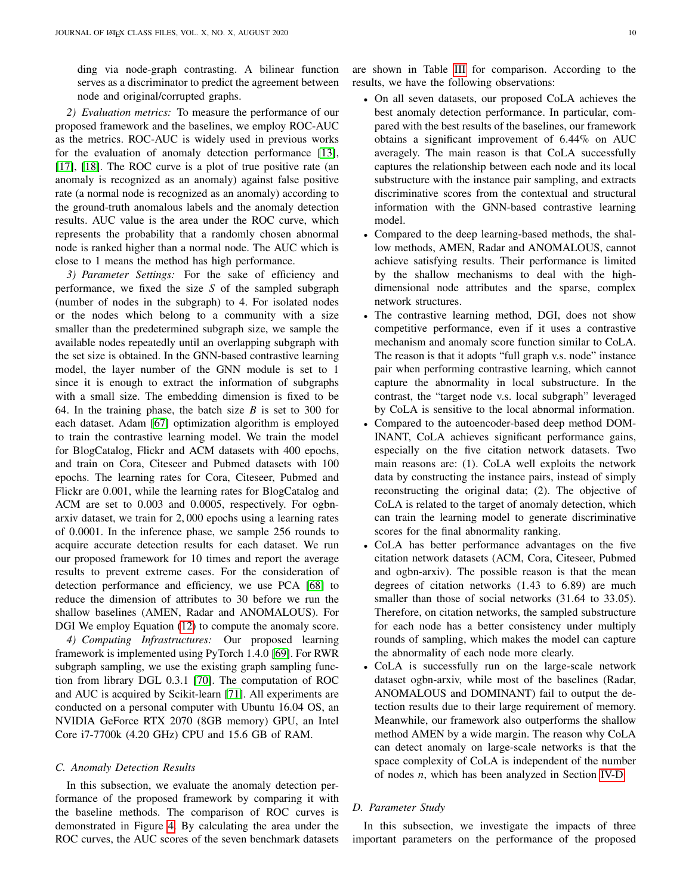ding via node-graph contrasting. A bilinear function serves as a discriminator to predict the agreement between node and original/corrupted graphs.

*2) Evaluation metrics:* To measure the performance of our proposed framework and the baselines, we employ ROC-AUC as the metrics. ROC-AUC is widely used in previous works for the evaluation of anomaly detection performance [\[13\]](#page-13-7), [\[17\]](#page-13-11), [\[18\]](#page-13-12). The ROC curve is a plot of true positive rate (an anomaly is recognized as an anomaly) against false positive rate (a normal node is recognized as an anomaly) according to the ground-truth anomalous labels and the anomaly detection results. AUC value is the area under the ROC curve, which represents the probability that a randomly chosen abnormal node is ranked higher than a normal node. The AUC which is close to 1 means the method has high performance.

*3) Parameter Settings:* For the sake of efficiency and performance, we fixed the size  $S$  of the sampled subgraph (number of nodes in the subgraph) to 4. For isolated nodes or the nodes which belong to a community with a size smaller than the predetermined subgraph size, we sample the available nodes repeatedly until an overlapping subgraph with the set size is obtained. In the GNN-based contrastive learning model, the layer number of the GNN module is set to 1 since it is enough to extract the information of subgraphs with a small size. The embedding dimension is fixed to be 64. In the training phase, the batch size  $B$  is set to 300 for each dataset. Adam [\[67\]](#page-14-13) optimization algorithm is employed to train the contrastive learning model. We train the model for BlogCatalog, Flickr and ACM datasets with 400 epochs, and train on Cora, Citeseer and Pubmed datasets with 100 epochs. The learning rates for Cora, Citeseer, Pubmed and Flickr are 0.001, while the learning rates for BlogCatalog and ACM are set to 0.003 and 0.0005, respectively. For ogbnarxiv dataset, we train for 2, 000 epochs using a learning rates of 0.0001. In the inference phase, we sample 256 rounds to acquire accurate detection results for each dataset. We run our proposed framework for 10 times and report the average results to prevent extreme cases. For the consideration of detection performance and efficiency, we use PCA [\[68\]](#page-14-14) to reduce the dimension of attributes to 30 before we run the shallow baselines (AMEN, Radar and ANOMALOUS). For DGI We employ Equation [\(12\)](#page-6-3) to compute the anomaly score.

*4) Computing Infrastructures:* Our proposed learning framework is implemented using PyTorch 1.4.0 [\[69\]](#page-14-15). For RWR subgraph sampling, we use the existing graph sampling function from library DGL 0.3.1 [\[70\]](#page-14-16). The computation of ROC and AUC is acquired by Scikit-learn [\[71\]](#page-14-17). All experiments are conducted on a personal computer with Ubuntu 16.04 OS, an NVIDIA GeForce RTX 2070 (8GB memory) GPU, an Intel Core i7-7700k (4.20 GHz) CPU and 15.6 GB of RAM.

#### <span id="page-9-0"></span>*C. Anomaly Detection Results*

In this subsection, we evaluate the anomaly detection performance of the proposed framework by comparing it with the baseline methods. The comparison of ROC curves is demonstrated in Figure [4.](#page-10-0) By calculating the area under the ROC curves, the AUC scores of the seven benchmark datasets are shown in Table [III](#page-10-1) for comparison. According to the results, we have the following observations:

- On all seven datasets, our proposed CoLA achieves the best anomaly detection performance. In particular, compared with the best results of the baselines, our framework obtains a significant improvement of 6.44% on AUC averagely. The main reason is that CoLA successfully captures the relationship between each node and its local substructure with the instance pair sampling, and extracts discriminative scores from the contextual and structural information with the GNN-based contrastive learning model.
- Compared to the deep learning-based methods, the shallow methods, AMEN, Radar and ANOMALOUS, cannot achieve satisfying results. Their performance is limited by the shallow mechanisms to deal with the highdimensional node attributes and the sparse, complex network structures.
- The contrastive learning method, DGI, does not show competitive performance, even if it uses a contrastive mechanism and anomaly score function similar to CoLA. The reason is that it adopts "full graph v.s. node" instance pair when performing contrastive learning, which cannot capture the abnormality in local substructure. In the contrast, the "target node v.s. local subgraph" leveraged by CoLA is sensitive to the local abnormal information.
- Compared to the autoencoder-based deep method DOM-INANT, CoLA achieves significant performance gains, especially on the five citation network datasets. Two main reasons are: (1). CoLA well exploits the network data by constructing the instance pairs, instead of simply reconstructing the original data; (2). The objective of CoLA is related to the target of anomaly detection, which can train the learning model to generate discriminative scores for the final abnormality ranking.
- CoLA has better performance advantages on the five citation network datasets (ACM, Cora, Citeseer, Pubmed and ogbn-arxiv). The possible reason is that the mean degrees of citation networks (1.43 to 6.89) are much smaller than those of social networks  $(31.64 \text{ to } 33.05)$ . Therefore, on citation networks, the sampled substructure for each node has a better consistency under multiply rounds of sampling, which makes the model can capture the abnormality of each node more clearly.
- CoLA is successfully run on the large-scale network dataset ogbn-arxiv, while most of the baselines (Radar, ANOMALOUS and DOMINANT) fail to output the detection results due to their large requirement of memory. Meanwhile, our framework also outperforms the shallow method AMEN by a wide margin. The reason why CoLA can detect anomaly on large-scale networks is that the space complexity of CoLA is independent of the number of nodes  $n$ , which has been analyzed in Section [IV-D.](#page-7-1)

#### *D. Parameter Study*

In this subsection, we investigate the impacts of three important parameters on the performance of the proposed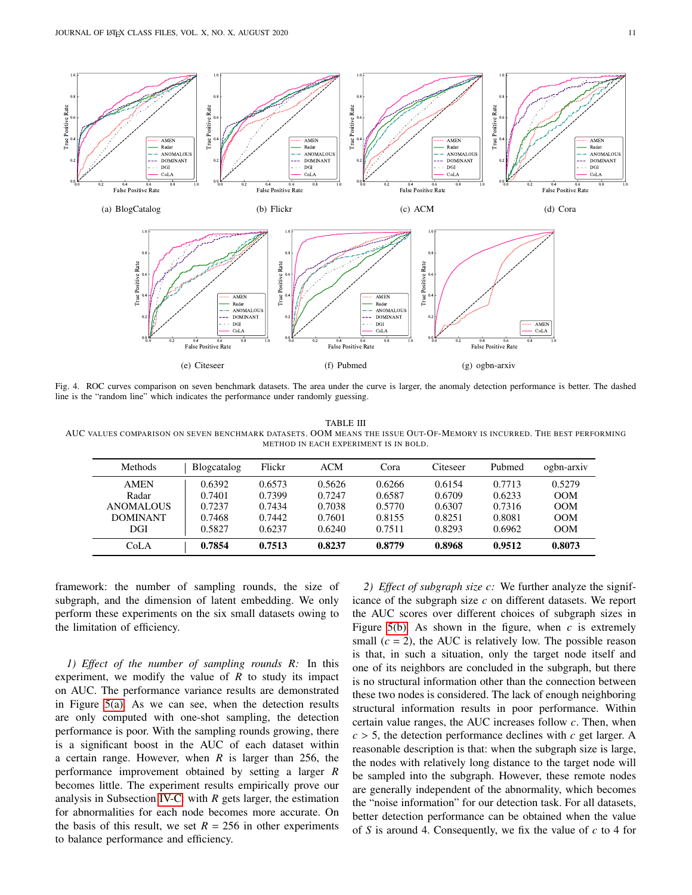

<span id="page-10-0"></span>Fig. 4. ROC curves comparison on seven benchmark datasets. The area under the curve is larger, the anomaly detection performance is better. The dashed line is the "random line" which indicates the performance under randomly guessing.

<span id="page-10-1"></span>TABLE III AUC VALUES COMPARISON ON SEVEN BENCHMARK DATASETS. OOM MEANS THE ISSUE OUT-OF-MEMORY IS INCURRED. THE BEST PERFORMING METHOD IN EACH EXPERIMENT IS IN BOLD.

| Methods          | Blogcatalog | Flickr | ACM    | Cora   | Citeseer | Pubmed | ogbn-arxiv |
|------------------|-------------|--------|--------|--------|----------|--------|------------|
| <b>AMEN</b>      | 0.6392      | 0.6573 | 0.5626 | 0.6266 | 0.6154   | 0.7713 | 0.5279     |
| Radar            | 0.7401      | 0.7399 | 0.7247 | 0.6587 | 0.6709   | 0.6233 | OM         |
| <b>ANOMALOUS</b> | 0.7237      | 0.7434 | 0.7038 | 0.5770 | 0.6307   | 0.7316 | OM         |
| <b>DOMINANT</b>  | 0.7468      | 0.7442 | 0.7601 | 0.8155 | 0.8251   | 0.8081 | OM         |
| DGI              | 0.5827      | 0.6237 | 0.6240 | 0.7511 | 0.8293   | 0.6962 | OM         |
| CoLA             | 0.7854      | 0.7513 | 0.8237 | 0.8779 | 0.8968   | 0.9512 | 0.8073     |

framework: the number of sampling rounds, the size of subgraph, and the dimension of latent embedding. We only perform these experiments on the six small datasets owing to the limitation of efficiency.

*1)* Effect of the number of sampling rounds R: In this experiment, we modify the value of  $R$  to study its impact on AUC. The performance variance results are demonstrated in Figure [5\(a\).](#page-11-0) As we can see, when the detection results are only computed with one-shot sampling, the detection performance is poor. With the sampling rounds growing, there is a significant boost in the AUC of each dataset within a certain range. However, when  $R$  is larger than 256, the performance improvement obtained by setting a larger becomes little. The experiment results empirically prove our analysis in Subsection [IV-C:](#page-6-0) with  $R$  gets larger, the estimation for abnormalities for each node becomes more accurate. On the basis of this result, we set  $R = 256$  in other experiments to balance performance and efficiency.

*2) Effect of subgraph size :* We further analyze the significance of the subgraph size  $c$  on different datasets. We report the AUC scores over different choices of subgraph sizes in Figure [5\(b\).](#page-11-1) As shown in the figure, when  $c$  is extremely small  $(c = 2)$ , the AUC is relatively low. The possible reason is that, in such a situation, only the target node itself and one of its neighbors are concluded in the subgraph, but there is no structural information other than the connection between these two nodes is considered. The lack of enough neighboring structural information results in poor performance. Within certain value ranges, the AUC increases follow  $c$ . Then, when  $c > 5$ , the detection performance declines with  $c$  get larger. A reasonable description is that: when the subgraph size is large, the nodes with relatively long distance to the target node will be sampled into the subgraph. However, these remote nodes are generally independent of the abnormality, which becomes the "noise information" for our detection task. For all datasets, better detection performance can be obtained when the value of S is around 4. Consequently, we fix the value of  $c$  to 4 for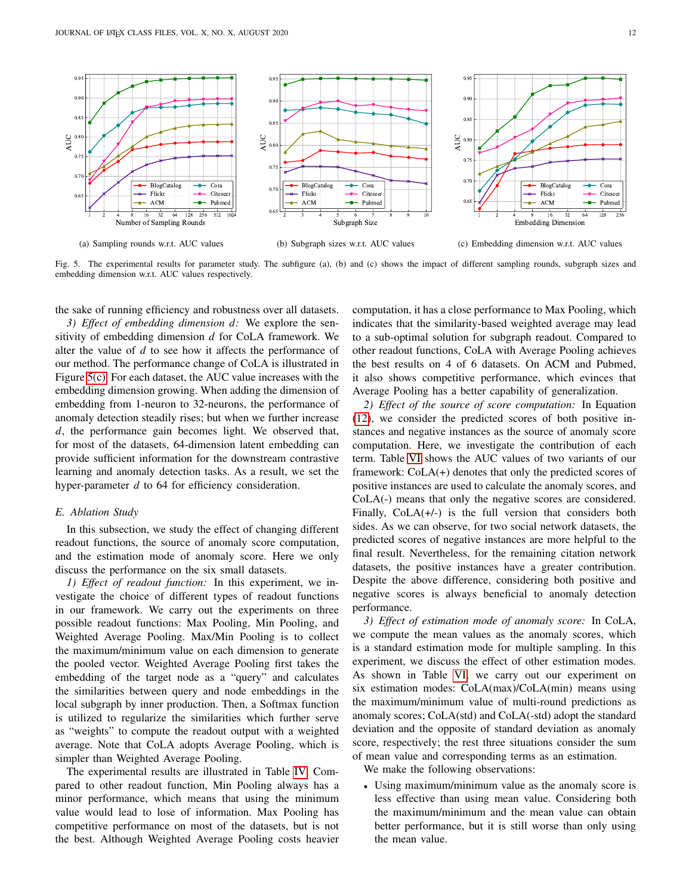<span id="page-11-0"></span>

Fig. 5. The experimental results for parameter study. The subfigure (a), (b) and (c) shows the impact of different sampling rounds, subgraph sizes and embedding dimension w.r.t. AUC values respectively.

the sake of running efficiency and robustness over all datasets.

*3) Effect of embedding dimension d:* We explore the sensitivity of embedding dimension  $d$  for CoLA framework. We alter the value of  $d$  to see how it affects the performance of our method. The performance change of CoLA is illustrated in Figure [5\(c\).](#page-11-2) For each dataset, the AUC value increases with the embedding dimension growing. When adding the dimension of embedding from 1-neuron to 32-neurons, the performance of anomaly detection steadily rises; but when we further increase d, the performance gain becomes light. We observed that, for most of the datasets, 64-dimension latent embedding can provide sufficient information for the downstream contrastive learning and anomaly detection tasks. As a result, we set the hyper-parameter  $d$  to 64 for efficiency consideration.

#### *E. Ablation Study*

In this subsection, we study the effect of changing different readout functions, the source of anomaly score computation, and the estimation mode of anomaly score. Here we only discuss the performance on the six small datasets.

*1) Effect of readout function:* In this experiment, we investigate the choice of different types of readout functions in our framework. We carry out the experiments on three possible readout functions: Max Pooling, Min Pooling, and Weighted Average Pooling. Max/Min Pooling is to collect the maximum/minimum value on each dimension to generate the pooled vector. Weighted Average Pooling first takes the embedding of the target node as a "query" and calculates the similarities between query and node embeddings in the local subgraph by inner production. Then, a Softmax function is utilized to regularize the similarities which further serve as "weights" to compute the readout output with a weighted average. Note that CoLA adopts Average Pooling, which is simpler than Weighted Average Pooling.

The experimental results are illustrated in Table [IV.](#page-12-6) Compared to other readout function, Min Pooling always has a minor performance, which means that using the minimum value would lead to lose of information. Max Pooling has competitive performance on most of the datasets, but is not the best. Although Weighted Average Pooling costs heavier

<span id="page-11-2"></span><span id="page-11-1"></span>computation, it has a close performance to Max Pooling, which indicates that the similarity-based weighted average may lead to a sub-optimal solution for subgraph readout. Compared to other readout functions, CoLA with Average Pooling achieves the best results on 4 of 6 datasets. On ACM and Pubmed, it also shows competitive performance, which evinces that Average Pooling has a better capability of generalization.

*2) Effect of the source of score computation:* In Equation [\(12\)](#page-6-3), we consider the predicted scores of both positive instances and negative instances as the source of anomaly score computation. Here, we investigate the contribution of each term. Table [VI](#page-12-7) shows the AUC values of two variants of our framework: CoLA(+) denotes that only the predicted scores of positive instances are used to calculate the anomaly scores, and CoLA(-) means that only the negative scores are considered. Finally, CoLA(+/-) is the full version that considers both sides. As we can observe, for two social network datasets, the predicted scores of negative instances are more helpful to the final result. Nevertheless, for the remaining citation network datasets, the positive instances have a greater contribution. Despite the above difference, considering both positive and negative scores is always beneficial to anomaly detection performance.

*3) Effect of estimation mode of anomaly score:* In CoLA, we compute the mean values as the anomaly scores, which is a standard estimation mode for multiple sampling. In this experiment, we discuss the effect of other estimation modes. As shown in Table [VI,](#page-12-7) we carry out our experiment on six estimation modes: CoLA(max)/CoLA(min) means using the maximum/minimum value of multi-round predictions as anomaly scores; CoLA(std) and CoLA(-std) adopt the standard deviation and the opposite of standard deviation as anomaly score, respectively; the rest three situations consider the sum of mean value and corresponding terms as an estimation.

We make the following observations:

• Using maximum/minimum value as the anomaly score is less effective than using mean value. Considering both the maximum/minimum and the mean value can obtain better performance, but it is still worse than only using the mean value.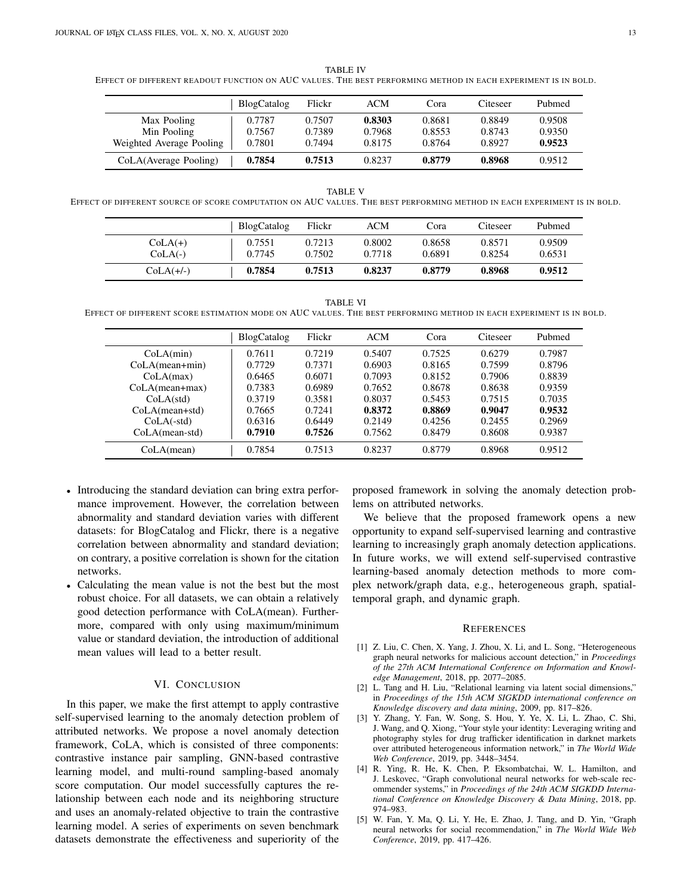<span id="page-12-6"></span>TABLE IV EFFECT OF DIFFERENT READOUT FUNCTION ON AUC VALUES. THE BEST PERFORMING METHOD IN EACH EXPERIMENT IS IN BOLD.

|                          | BlogCatalog | Flickr | ACM    | Cora   | Citeseer | Pubmed |
|--------------------------|-------------|--------|--------|--------|----------|--------|
| Max Pooling              | 0.7787      | 0.7507 | 0.8303 | 0.8681 | 0.8849   | 0.9508 |
| Min Pooling              | 0.7567      | 0.7389 | 0.7968 | 0.8553 | 0.8743   | 0.9350 |
| Weighted Average Pooling | 0.7801      | 0.7494 | 0.8175 | 0.8764 | 0.8927   | 0.9523 |
| CoLA(Average Pooling)    | 0.7854      | 0.7513 | 0.8237 | 0.8779 | 0.8968   | 0.9512 |

TABLE V

EFFECT OF DIFFERENT SOURCE OF SCORE COMPUTATION ON AUC VALUES. THE BEST PERFORMING METHOD IN EACH EXPERIMENT IS IN BOLD.

|                        | <b>BlogCatalog</b> | Flickr           | ACM              | Cora             | Citeseer         | Pubmed           |
|------------------------|--------------------|------------------|------------------|------------------|------------------|------------------|
| $CoLA(+)$<br>$CoLA(-)$ | 0.7551<br>0.7745   | 0.7213<br>0.7502 | 0.8002<br>0.7718 | 0.8658<br>0.6891 | 0.8571<br>0.8254 | 0.9509<br>0.6531 |
| $COLA(+/-)$            | 0.7854             | 0.7513           | 0.8237           | 0.8779           | 0.8968           | 0.9512           |

TABLE VI

<span id="page-12-7"></span>EFFECT OF DIFFERENT SCORE ESTIMATION MODE ON AUC VALUES. THE BEST PERFORMING METHOD IN EACH EXPERIMENT IS IN BOLD.

|                    | <b>BlogCatalog</b> | Flickr | <b>ACM</b> | Cora   | Citeseer | Pubmed |
|--------------------|--------------------|--------|------------|--------|----------|--------|
| CoLA(min)          | 0.7611             | 0.7219 | 0.5407     | 0.7525 | 0.6279   | 0.7987 |
| $CoLA(mean + min)$ | 0.7729             | 0.7371 | 0.6903     | 0.8165 | 0.7599   | 0.8796 |
| CoLA(max)          | 0.6465             | 0.6071 | 0.7093     | 0.8152 | 0.7906   | 0.8839 |
| $CoLA(mean + max)$ | 0.7383             | 0.6989 | 0.7652     | 0.8678 | 0.8638   | 0.9359 |
| CoLA(std)          | 0.3719             | 0.3581 | 0.8037     | 0.5453 | 0.7515   | 0.7035 |
| $CoLA(mean + std)$ | 0.7665             | 0.7241 | 0.8372     | 0.8869 | 0.9047   | 0.9532 |
| $CoLA(-std)$       | 0.6316             | 0.6449 | 0.2149     | 0.4256 | 0.2455   | 0.2969 |
| $CoLA(mean-std)$   | 0.7910             | 0.7526 | 0.7562     | 0.8479 | 0.8608   | 0.9387 |
| CoLA(mean)         | 0.7854             | 0.7513 | 0.8237     | 0.8779 | 0.8968   | 0.9512 |

- Introducing the standard deviation can bring extra performance improvement. However, the correlation between abnormality and standard deviation varies with different datasets: for BlogCatalog and Flickr, there is a negative correlation between abnormality and standard deviation; on contrary, a positive correlation is shown for the citation networks.
- Calculating the mean value is not the best but the most robust choice. For all datasets, we can obtain a relatively good detection performance with CoLA(mean). Furthermore, compared with only using maximum/minimum value or standard deviation, the introduction of additional mean values will lead to a better result.

# VI. CONCLUSION

<span id="page-12-5"></span>In this paper, we make the first attempt to apply contrastive self-supervised learning to the anomaly detection problem of attributed networks. We propose a novel anomaly detection framework, CoLA, which is consisted of three components: contrastive instance pair sampling, GNN-based contrastive learning model, and multi-round sampling-based anomaly score computation. Our model successfully captures the relationship between each node and its neighboring structure and uses an anomaly-related objective to train the contrastive learning model. A series of experiments on seven benchmark datasets demonstrate the effectiveness and superiority of the

proposed framework in solving the anomaly detection problems on attributed networks.

We believe that the proposed framework opens a new opportunity to expand self-supervised learning and contrastive learning to increasingly graph anomaly detection applications. In future works, we will extend self-supervised contrastive learning-based anomaly detection methods to more complex network/graph data, e.g., heterogeneous graph, spatialtemporal graph, and dynamic graph.

#### **REFERENCES**

- <span id="page-12-0"></span>[1] Z. Liu, C. Chen, X. Yang, J. Zhou, X. Li, and L. Song, "Heterogeneous graph neural networks for malicious account detection," in *Proceedings of the 27th ACM International Conference on Information and Knowledge Management*, 2018, pp. 2077–2085.
- <span id="page-12-1"></span>[2] L. Tang and H. Liu, "Relational learning via latent social dimensions," in *Proceedings of the 15th ACM SIGKDD international conference on Knowledge discovery and data mining*, 2009, pp. 817–826.
- <span id="page-12-2"></span>[3] Y. Zhang, Y. Fan, W. Song, S. Hou, Y. Ye, X. Li, L. Zhao, C. Shi, J. Wang, and Q. Xiong, "Your style your identity: Leveraging writing and photography styles for drug trafficker identification in darknet markets over attributed heterogeneous information network," in *The World Wide Web Conference*, 2019, pp. 3448–3454.
- <span id="page-12-3"></span>[4] R. Ying, R. He, K. Chen, P. Eksombatchai, W. L. Hamilton, and J. Leskovec, "Graph convolutional neural networks for web-scale recommender systems," in *Proceedings of the 24th ACM SIGKDD International Conference on Knowledge Discovery & Data Mining*, 2018, pp. 974–983.
- <span id="page-12-4"></span>[5] W. Fan, Y. Ma, Q. Li, Y. He, E. Zhao, J. Tang, and D. Yin, "Graph neural networks for social recommendation," in *The World Wide Web Conference*, 2019, pp. 417–426.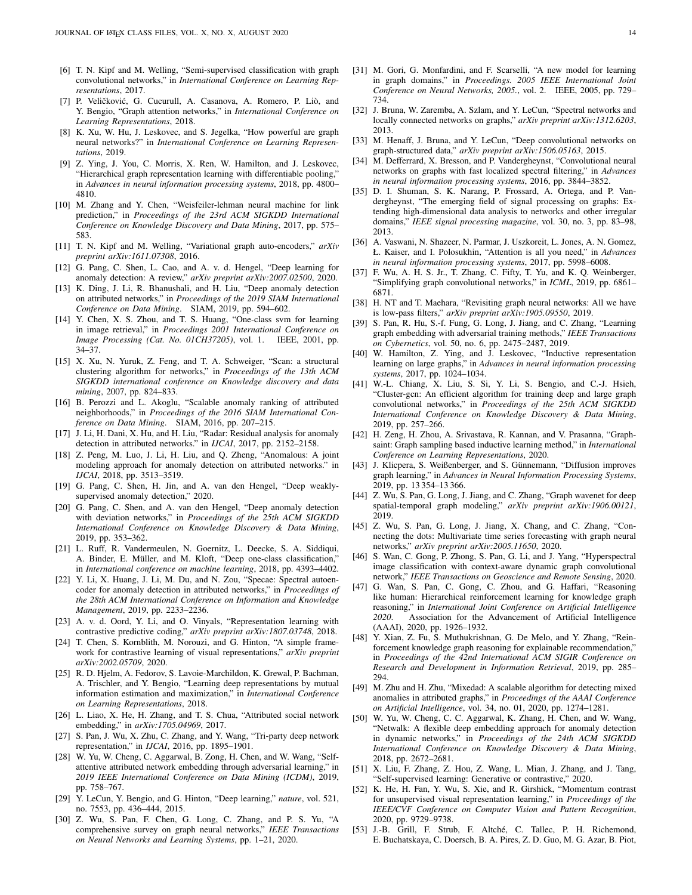- <span id="page-13-0"></span>[6] T. N. Kipf and M. Welling, "Semi-supervised classification with graph convolutional networks," in *International Conference on Learning Representations*, 2017.
- <span id="page-13-1"></span>[7] P. Veličković, G. Cucurull, A. Casanova, A. Romero, P. Liò, and Y. Bengio, "Graph attention networks," in *International Conference on Learning Representations*, 2018.
- <span id="page-13-2"></span>[8] K. Xu, W. Hu, J. Leskovec, and S. Jegelka, "How powerful are graph neural networks?" in *International Conference on Learning Representations*, 2019.
- <span id="page-13-3"></span>[9] Z. Ying, J. You, C. Morris, X. Ren, W. Hamilton, and J. Leskovec, "Hierarchical graph representation learning with differentiable pooling," in *Advances in neural information processing systems*, 2018, pp. 4800– 4810.
- <span id="page-13-4"></span>[10] M. Zhang and Y. Chen, "Weisfeiler-lehman neural machine for link prediction," in *Proceedings of the 23rd ACM SIGKDD International Conference on Knowledge Discovery and Data Mining*, 2017, pp. 575– 583.
- <span id="page-13-5"></span>[11] T. N. Kipf and M. Welling, "Variational graph auto-encoders," *arXiv preprint arXiv:1611.07308*, 2016.
- <span id="page-13-6"></span>[12] G. Pang, C. Shen, L. Cao, and A. v. d. Hengel, "Deep learning for anomaly detection: A review," *arXiv preprint arXiv:2007.02500*, 2020.
- <span id="page-13-7"></span>[13] K. Ding, J. Li, R. Bhanushali, and H. Liu, "Deep anomaly detection on attributed networks," in *Proceedings of the 2019 SIAM International Conference on Data Mining*. SIAM, 2019, pp. 594–602.
- <span id="page-13-8"></span>[14] Y. Chen, X. S. Zhou, and T. S. Huang, "One-class svm for learning in image retrieval," in *Proceedings 2001 International Conference on Image Processing (Cat. No. 01CH37205)*, vol. 1. IEEE, 2001, pp. 34–37.
- <span id="page-13-9"></span>[15] X. Xu, N. Yuruk, Z. Feng, and T. A. Schweiger, "Scan: a structural clustering algorithm for networks," in *Proceedings of the 13th ACM SIGKDD international conference on Knowledge discovery and data mining*, 2007, pp. 824–833.
- <span id="page-13-10"></span>[16] B. Perozzi and L. Akoglu, "Scalable anomaly ranking of attributed neighborhoods," in *Proceedings of the 2016 SIAM International Conference on Data Mining*. SIAM, 2016, pp. 207–215.
- <span id="page-13-11"></span>[17] J. Li, H. Dani, X. Hu, and H. Liu, "Radar: Residual analysis for anomaly detection in attributed networks." in *IJCAI*, 2017, pp. 2152–2158.
- <span id="page-13-12"></span>[18] Z. Peng, M. Luo, J. Li, H. Liu, and Q. Zheng, "Anomalous: A joint modeling approach for anomaly detection on attributed networks." in *IJCAI*, 2018, pp. 3513–3519.
- <span id="page-13-13"></span>[19] G. Pang, C. Shen, H. Jin, and A. van den Hengel, "Deep weaklysupervised anomaly detection," 2020.
- <span id="page-13-14"></span>[20] G. Pang, C. Shen, and A. van den Hengel, "Deep anomaly detection with deviation networks," in *Proceedings of the 25th ACM SIGKDD International Conference on Knowledge Discovery & Data Mining*, 2019, pp. 353–362.
- <span id="page-13-15"></span>[21] L. Ruff, R. Vandermeulen, N. Goernitz, L. Deecke, S. A. Siddiqui, A. Binder, E. Müller, and M. Kloft, "Deep one-class classification," in *International conference on machine learning*, 2018, pp. 4393–4402.
- <span id="page-13-16"></span>[22] Y. Li, X. Huang, J. Li, M. Du, and N. Zou, "Specae: Spectral autoencoder for anomaly detection in attributed networks," in *Proceedings of the 28th ACM International Conference on Information and Knowledge Management*, 2019, pp. 2233–2236.
- <span id="page-13-17"></span>[23] A. v. d. Oord, Y. Li, and O. Vinyals, "Representation learning with contrastive predictive coding," *arXiv preprint arXiv:1807.03748*, 2018.
- <span id="page-13-18"></span>[24] T. Chen, S. Kornblith, M. Norouzi, and G. Hinton, "A simple framework for contrastive learning of visual representations," *arXiv preprint arXiv:2002.05709*, 2020.
- <span id="page-13-19"></span>[25] R. D. Hjelm, A. Fedorov, S. Lavoie-Marchildon, K. Grewal, P. Bachman, A. Trischler, and Y. Bengio, "Learning deep representations by mutual information estimation and maximization," in *International Conference on Learning Representations*, 2018.
- <span id="page-13-20"></span>[26] L. Liao, X. He, H. Zhang, and T. S. Chua, "Attributed social network embedding," in *arXiv:1705.04969*, 2017.
- <span id="page-13-21"></span>[27] S. Pan, J. Wu, X. Zhu, C. Zhang, and Y. Wang, "Tri-party deep network representation," in *IJCAI*, 2016, pp. 1895–1901.
- <span id="page-13-22"></span>[28] W. Yu, W. Cheng, C. Aggarwal, B. Zong, H. Chen, and W. Wang, "Selfattentive attributed network embedding through adversarial learning," in *2019 IEEE International Conference on Data Mining (ICDM)*, 2019, pp. 758–767.
- <span id="page-13-23"></span>[29] Y. LeCun, Y. Bengio, and G. Hinton, "Deep learning," *nature*, vol. 521, no. 7553, pp. 436–444, 2015.
- <span id="page-13-24"></span>[30] Z. Wu, S. Pan, F. Chen, G. Long, C. Zhang, and P. S. Yu, "A comprehensive survey on graph neural networks," *IEEE Transactions on Neural Networks and Learning Systems*, pp. 1–21, 2020.
- <span id="page-13-25"></span>[31] M. Gori, G. Monfardini, and F. Scarselli, "A new model for learning in graph domains," in *Proceedings. 2005 IEEE International Joint Conference on Neural Networks, 2005.*, vol. 2. IEEE, 2005, pp. 729– 734.
- <span id="page-13-26"></span>[32] J. Bruna, W. Zaremba, A. Szlam, and Y. LeCun, "Spectral networks and locally connected networks on graphs," *arXiv preprint arXiv:1312.6203*, 2013.
- <span id="page-13-27"></span>[33] M. Henaff, J. Bruna, and Y. LeCun, "Deep convolutional networks on graph-structured data," *arXiv preprint arXiv:1506.05163*, 2015.
- <span id="page-13-28"></span>[34] M. Defferrard, X. Bresson, and P. Vandergheynst, "Convolutional neural networks on graphs with fast localized spectral filtering," in *Advances in neural information processing systems*, 2016, pp. 3844–3852.
- <span id="page-13-29"></span>[35] D. I. Shuman, S. K. Narang, P. Frossard, A. Ortega, and P. Vandergheynst, "The emerging field of signal processing on graphs: Extending high-dimensional data analysis to networks and other irregular domains," *IEEE signal processing magazine*, vol. 30, no. 3, pp. 83–98, 2013.
- <span id="page-13-30"></span>[36] A. Vaswani, N. Shazeer, N. Parmar, J. Uszkoreit, L. Jones, A. N. Gomez, Ł. Kaiser, and I. Polosukhin, "Attention is all you need," in *Advances in neural information processing systems*, 2017, pp. 5998–6008.
- <span id="page-13-31"></span>[37] F. Wu, A. H. S. Jr., T. Zhang, C. Fifty, T. Yu, and K. Q. Weinberger, "Simplifying graph convolutional networks," in *ICML*, 2019, pp. 6861– 6871.
- <span id="page-13-32"></span>[38] H. NT and T. Maehara, "Revisiting graph neural networks: All we have is low-pass filters," *arXiv preprint arXiv:1905.09550*, 2019.
- <span id="page-13-33"></span>[39] S. Pan, R. Hu, S.-f. Fung, G. Long, J. Jiang, and C. Zhang, "Learning graph embedding with adversarial training methods," *IEEE Transactions on Cybernetics*, vol. 50, no. 6, pp. 2475–2487, 2019.
- <span id="page-13-34"></span>[40] W. Hamilton, Z. Ying, and J. Leskovec, "Inductive representation learning on large graphs," in *Advances in neural information processing systems*, 2017, pp. 1024–1034.
- <span id="page-13-35"></span>[41] W.-L. Chiang, X. Liu, S. Si, Y. Li, S. Bengio, and C.-J. Hsieh, "Cluster-gcn: An efficient algorithm for training deep and large graph convolutional networks," in *Proceedings of the 25th ACM SIGKDD International Conference on Knowledge Discovery & Data Mining*, 2019, pp. 257–266.
- <span id="page-13-36"></span>[42] H. Zeng, H. Zhou, A. Srivastava, R. Kannan, and V. Prasanna, "Graphsaint: Graph sampling based inductive learning method," in *International Conference on Learning Representations*, 2020.
- <span id="page-13-37"></span>[43] J. Klicpera, S. Weißenberger, and S. Günnemann, "Diffusion improves graph learning," in *Advances in Neural Information Processing Systems*, 2019, pp. 13 354–13 366.
- <span id="page-13-38"></span>[44] Z. Wu, S. Pan, G. Long, J. Jiang, and C. Zhang, "Graph wavenet for deep spatial-temporal graph modeling," *arXiv preprint arXiv:1906.00121*, 2019.
- <span id="page-13-39"></span>[45] Z. Wu, S. Pan, G. Long, J. Jiang, X. Chang, and C. Zhang, "Connecting the dots: Multivariate time series forecasting with graph neural networks," *arXiv preprint arXiv:2005.11650*, 2020.
- <span id="page-13-40"></span>[46] S. Wan, C. Gong, P. Zhong, S. Pan, G. Li, and J. Yang, "Hyperspectral image classification with context-aware dynamic graph convolutional network," *IEEE Transactions on Geoscience and Remote Sensing*, 2020.
- <span id="page-13-41"></span>[47] G. Wan, S. Pan, C. Gong, C. Zhou, and G. Haffari, "Reasoning like human: Hierarchical reinforcement learning for knowledge graph reasoning," in *International Joint Conference on Artificial Intelligence 2020*. Association for the Advancement of Artificial Intelligence (AAAI), 2020, pp. 1926–1932.
- <span id="page-13-42"></span>[48] Y. Xian, Z. Fu, S. Muthukrishnan, G. De Melo, and Y. Zhang, "Reinforcement knowledge graph reasoning for explainable recommendation," in *Proceedings of the 42nd International ACM SIGIR Conference on Research and Development in Information Retrieval*, 2019, pp. 285– 294.
- <span id="page-13-43"></span>[49] M. Zhu and H. Zhu, "Mixedad: A scalable algorithm for detecting mixed anomalies in attributed graphs," in *Proceedings of the AAAI Conference on Artificial Intelligence*, vol. 34, no. 01, 2020, pp. 1274–1281.
- <span id="page-13-44"></span>[50] W. Yu, W. Cheng, C. C. Aggarwal, K. Zhang, H. Chen, and W. Wang, "Netwalk: A flexible deep embedding approach for anomaly detection in dynamic networks," in *Proceedings of the 24th ACM SIGKDD International Conference on Knowledge Discovery & Data Mining*, 2018, pp. 2672–2681.
- <span id="page-13-45"></span>[51] X. Liu, F. Zhang, Z. Hou, Z. Wang, L. Mian, J. Zhang, and J. Tang, "Self-supervised learning: Generative or contrastive," 2020.
- <span id="page-13-46"></span>[52] K. He, H. Fan, Y. Wu, S. Xie, and R. Girshick, "Momentum contrast for unsupervised visual representation learning," in *Proceedings of the IEEE/CVF Conference on Computer Vision and Pattern Recognition*, 2020, pp. 9729–9738.
- <span id="page-13-47"></span>[53] J.-B. Grill, F. Strub, F. Altché, C. Tallec, P. H. Richemond, E. Buchatskaya, C. Doersch, B. A. Pires, Z. D. Guo, M. G. Azar, B. Piot,